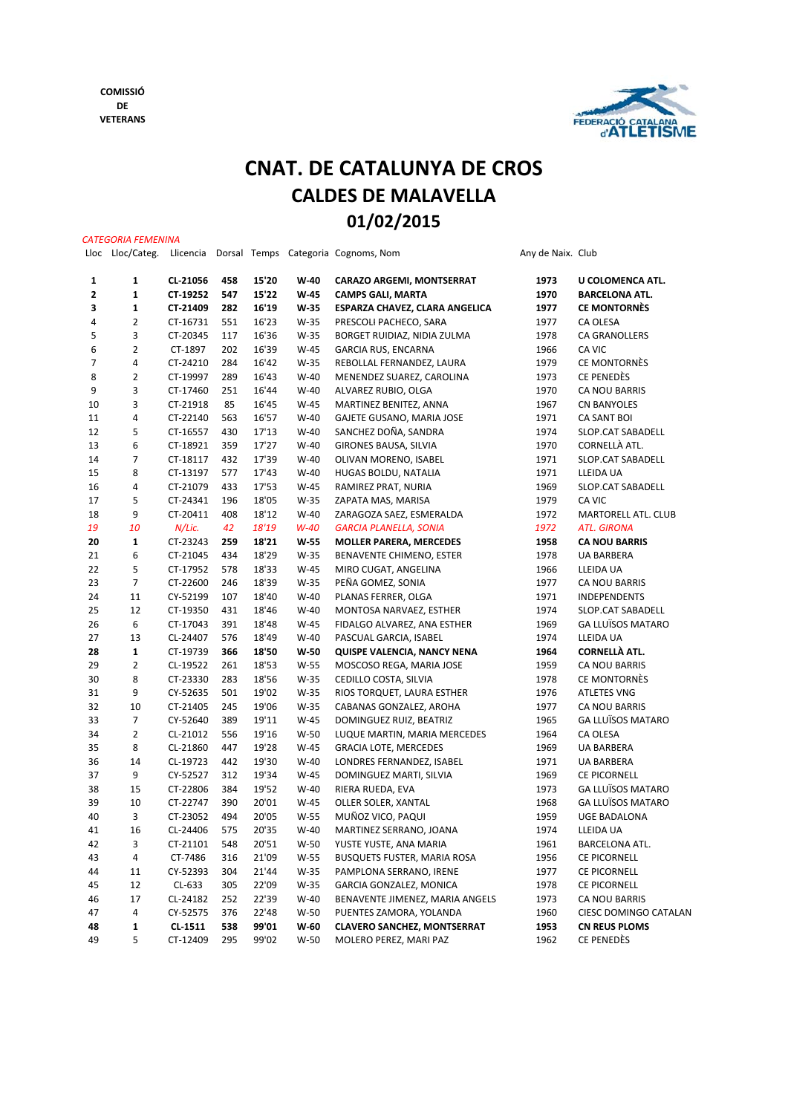*CATEGORIA FEMENINA*



## **CNAT. DE CATALUNYA DE CROS CALDES DE MALAVELLA 01/02/2015**

| Lloc | Lloc/Categ.    | Llicencia |     |       |        | Dorsal Temps Categoria Cognoms, Nom | Any de Naix. Club |                          |
|------|----------------|-----------|-----|-------|--------|-------------------------------------|-------------------|--------------------------|
| 1    | $\mathbf{1}$   | CL-21056  | 458 | 15'20 | W-40   | <b>CARAZO ARGEMI, MONTSERRAT</b>    | 1973              | U COLOMENCA ATL.         |
| 2    | $\mathbf 1$    | CT-19252  | 547 | 15'22 | W-45   | <b>CAMPS GALI, MARTA</b>            | 1970              | <b>BARCELONA ATL.</b>    |
| 3    | $\mathbf{1}$   | CT-21409  | 282 | 16'19 | W-35   | ESPARZA CHAVEZ, CLARA ANGELICA      | 1977              | <b>CE MONTORNÈS</b>      |
| 4    | $\overline{2}$ | CT-16731  | 551 | 16'23 | W-35   | PRESCOLI PACHECO, SARA              | 1977              | CA OLESA                 |
| 5    | 3              | CT-20345  | 117 | 16'36 | W-35   | BORGET RUIDIAZ, NIDIA ZULMA         | 1978              | CA GRANOLLERS            |
| 6    | $\overline{2}$ | CT-1897   | 202 | 16'39 | $W-45$ | GARCIA RUS, ENCARNA                 | 1966              | CA VIC                   |
| 7    | 4              | CT-24210  | 284 | 16'42 | $W-35$ | REBOLLAL FERNANDEZ, LAURA           | 1979              | CE MONTORNÈS             |
| 8    | $\overline{2}$ | CT-19997  | 289 | 16'43 | $W-40$ | MENENDEZ SUAREZ, CAROLINA           | 1973              | CE PENEDÈS               |
| 9    | 3              | CT-17460  | 251 | 16'44 | $W-40$ | ALVAREZ RUBIO, OLGA                 | 1970              | CA NOU BARRIS            |
| 10   | 3              | CT-21918  | 85  | 16'45 | W-45   | MARTINEZ BENITEZ, ANNA              | 1967              | <b>CN BANYOLES</b>       |
| 11   | 4              | CT-22140  | 563 | 16'57 | $W-40$ | GAJETE GUSANO, MARIA JOSE           | 1971              | CA SANT BOI              |
| 12   | 5              | CT-16557  | 430 | 17'13 | $W-40$ | SANCHEZ DOÑA, SANDRA                | 1974              | SLOP.CAT SABADELL        |
| 13   | 6              | CT-18921  | 359 | 17'27 | $W-40$ | GIRONES BAUSA, SILVIA               | 1970              | CORNELLÀ ATL.            |
| 14   | $\overline{7}$ | CT-18117  | 432 | 17'39 | $W-40$ | OLIVAN MORENO, ISABEL               | 1971              | SLOP.CAT SABADELL        |
| 15   | 8              | CT-13197  | 577 | 17'43 | $W-40$ | HUGAS BOLDU, NATALIA                | 1971              | LLEIDA UA                |
| 16   | 4              | CT-21079  | 433 | 17'53 | $W-45$ | RAMIREZ PRAT, NURIA                 | 1969              | SLOP.CAT SABADELL        |
| 17   | 5              | CT-24341  | 196 | 18'05 | W-35   | ZAPATA MAS, MARISA                  | 1979              | CA VIC                   |
| 18   | 9              | CT-20411  | 408 | 18'12 | $W-40$ | ZARAGOZA SAEZ, ESMERALDA            | 1972              | MARTORELL ATL. CLUB      |
| 19   | 10             | N/Lic.    | 42  | 18'19 | $W-40$ | GARCIA PLANELLA, SONIA              | 1972              | <b>ATL. GIRONA</b>       |
| 20   | 1              | CT-23243  | 259 | 18'21 | $W-55$ | <b>MOLLER PARERA, MERCEDES</b>      | 1958              | <b>CA NOU BARRIS</b>     |
| 21   | 6              | CT-21045  | 434 | 18'29 | $W-35$ | BENAVENTE CHIMENO, ESTER            | 1978              | <b>UA BARBERA</b>        |
| 22   | 5              | CT-17952  | 578 | 18'33 | $W-45$ | MIRO CUGAT, ANGELINA                | 1966              | LLEIDA UA                |
| 23   | $\overline{7}$ | CT-22600  | 246 | 18'39 | W-35   | PEÑA GOMEZ, SONIA                   | 1977              | CA NOU BARRIS            |
| 24   | 11             | CY-52199  | 107 | 18'40 | $W-40$ | PLANAS FERRER, OLGA                 | 1971              | <b>INDEPENDENTS</b>      |
| 25   | 12             | CT-19350  | 431 | 18'46 | $W-40$ | MONTOSA NARVAEZ, ESTHER             | 1974              | SLOP.CAT SABADELL        |
| 26   | 6              | CT-17043  | 391 | 18'48 | $W-45$ | FIDALGO ALVAREZ, ANA ESTHER         | 1969              | <b>GA LLUÏSOS MATARO</b> |
| 27   | 13             | CL-24407  | 576 | 18'49 | $W-40$ | PASCUAL GARCIA, ISABEL              | 1974              | LLEIDA UA                |
| 28   | $\mathbf{1}$   | CT-19739  | 366 | 18'50 | W-50   | QUISPE VALENCIA, NANCY NENA         | 1964              | <b>CORNELLÀ ATL.</b>     |
| 29   | $\overline{2}$ | CL-19522  | 261 | 18'53 | $W-55$ | MOSCOSO REGA, MARIA JOSE            | 1959              | CA NOU BARRIS            |
| 30   | 8              | CT-23330  | 283 | 18'56 | W-35   | CEDILLO COSTA, SILVIA               | 1978              | CE MONTORNÈS             |
| 31   | 9              | CY-52635  | 501 | 19'02 | W-35   | RIOS TORQUET, LAURA ESTHER          | 1976              | <b>ATLETES VNG</b>       |
| 32   | 10             | CT-21405  | 245 | 19'06 | W-35   | CABANAS GONZALEZ, AROHA             | 1977              | CA NOU BARRIS            |
| 33   | 7              | CY-52640  | 389 | 19'11 | $W-45$ | DOMINGUEZ RUIZ, BEATRIZ             | 1965              | <b>GA LLUÏSOS MATARO</b> |
| 34   | $\overline{2}$ | CL-21012  | 556 | 19'16 | $W-50$ | LUQUE MARTIN, MARIA MERCEDES        | 1964              | CA OLESA                 |
| 35   | 8              | CL-21860  | 447 | 19'28 | $W-45$ | <b>GRACIA LOTE, MERCEDES</b>        | 1969              | <b>UA BARBERA</b>        |
| 36   | 14             | CL-19723  | 442 | 19'30 | $W-40$ | LONDRES FERNANDEZ, ISABEL           | 1971              | UA BARBERA               |
| 37   | 9              | CY-52527  | 312 | 19'34 | $W-45$ | DOMINGUEZ MARTI, SILVIA             | 1969              | CE PICORNELL             |
| 38   | 15             | CT-22806  | 384 | 19'52 | $W-40$ | RIERA RUEDA, EVA                    | 1973              | <b>GA LLUÏSOS MATARO</b> |
| 39   | 10             | CT-22747  | 390 | 20'01 | W-45   | OLLER SOLER, XANTAL                 | 1968              | <b>GA LLUÏSOS MATARO</b> |
| 40   | 3              | CT-23052  | 494 | 20'05 | $W-55$ | MUÑOZ VICO, PAQUI                   | 1959              | <b>UGE BADALONA</b>      |
| 41   | 16             | CL-24406  | 575 | 20'35 | $W-40$ | MARTINEZ SERRANO, JOANA             | 1974              | LLEIDA UA                |
| 42   | 3              | CT-21101  | 548 | 20'51 | W-50   | YUSTE YUSTE, ANA MARIA              | 1961              | BARCELONA ATL.           |
| 43   | 4              | CT-7486   | 316 | 21'09 | W-55   | BUSQUETS FUSTER, MARIA ROSA         | 1956              | CE PICORNELL             |
| 44   | 11             | CY-52393  | 304 | 21'44 | W-35   | PAMPLONA SERRANO, IRENE             | 1977              | CE PICORNELL             |
| 45   | 12             | CL-633    | 305 | 22'09 | W-35   | GARCIA GONZALEZ, MONICA             | 1978              | <b>CE PICORNELL</b>      |
| 46   | 17             | CL-24182  | 252 | 22'39 | $W-40$ | BENAVENTE JIMENEZ, MARIA ANGELS     | 1973              | CA NOU BARRIS            |
| 47   | 4              | CY-52575  | 376 | 22'48 | $W-50$ | PUENTES ZAMORA, YOLANDA             | 1960              | CIESC DOMINGO CATALAN    |
| 48   | $\mathbf 1$    | CL-1511   | 538 | 99'01 | $W-60$ | <b>CLAVERO SANCHEZ, MONTSERRAT</b>  | 1953              | <b>CN REUS PLOMS</b>     |
| 49   | 5              | CT-12409  | 295 | 99'02 | W-50   | MOLERO PEREZ, MARI PAZ              | 1962              | CE PENEDÈS               |
|      |                |           |     |       |        |                                     |                   |                          |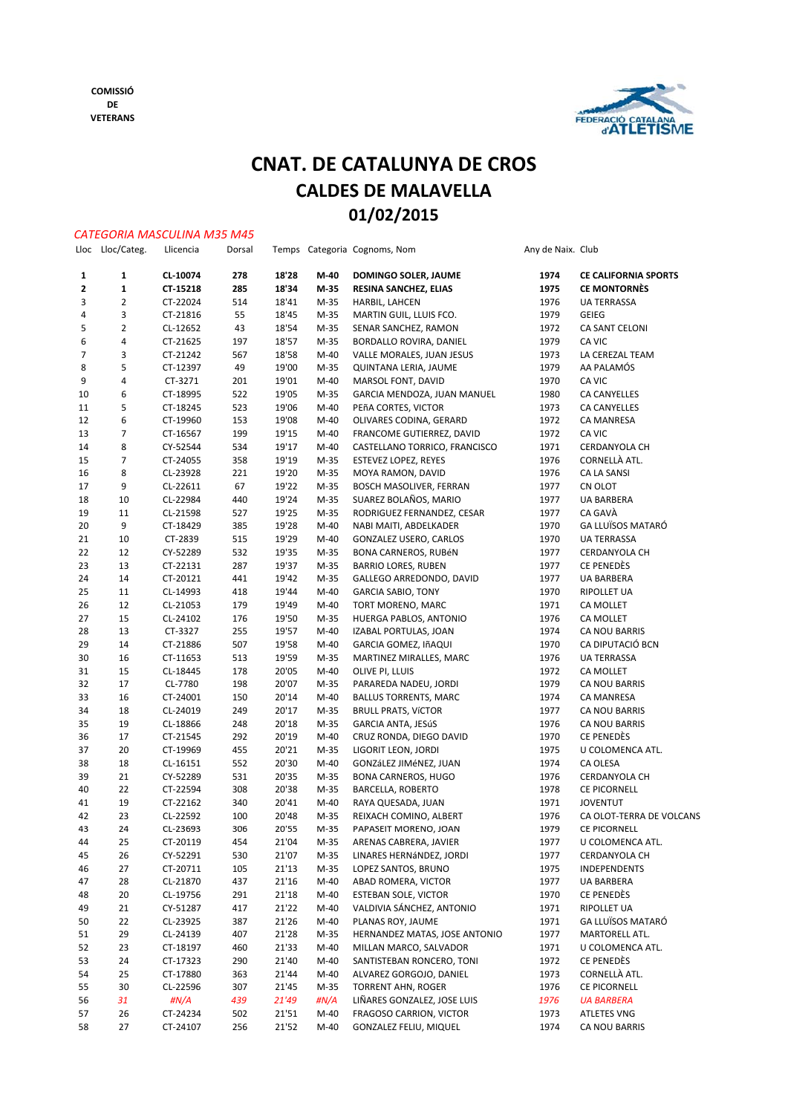

## **CNAT. DE CATALUNYA DE CROS CALDES DE MALAVELLA 01/02/2015**

|                |                  | <b>CATEGORIA MASCULINA M35 M45</b> |        |       |                |                               |                   |                                   |
|----------------|------------------|------------------------------------|--------|-------|----------------|-------------------------------|-------------------|-----------------------------------|
|                | Lloc Lloc/Categ. | Llicencia                          | Dorsal |       |                | Temps Categoria Cognoms, Nom  | Any de Naix. Club |                                   |
| 1              | 1                | CL-10074                           | 278    | 18'28 | M-40           | DOMINGO SOLER, JAUME          | 1974              | <b>CE CALIFORNIA SPORTS</b>       |
| $\mathbf{z}$   | 1                | CT-15218                           | 285    | 18'34 | M-35           | RESINA SANCHEZ, ELIAS         | 1975              | <b>CE MONTORNÈS</b>               |
| 3              | $\overline{2}$   | CT-22024                           | 514    | 18'41 | M-35           | HARBIL, LAHCEN                | 1976              | <b>UA TERRASSA</b>                |
| 4              | 3                | CT-21816                           | 55     | 18'45 | $M-35$         | MARTIN GUIL, LLUIS FCO.       | 1979              | <b>GEIEG</b>                      |
| 5              | $\overline{2}$   | CL-12652                           | 43     | 18'54 | M-35           | SENAR SANCHEZ, RAMON          | 1972              | CA SANT CELONI                    |
| 6              | 4                | CT-21625                           | 197    | 18'57 | M-35           | BORDALLO ROVIRA, DANIEL       | 1979              | CA VIC                            |
| $\overline{7}$ | 3                | CT-21242                           | 567    | 18'58 | $M-40$         | VALLE MORALES, JUAN JESUS     | 1973              | LA CEREZAL TEAM                   |
| 8              | 5                | CT-12397                           | 49     | 19'00 | M-35           | QUINTANA LERIA, JAUME         | 1979              | AA PALAMÓS                        |
| 9              | 4                | CT-3271                            | 201    | 19'01 | $M-40$         | MARSOL FONT, DAVID            | 1970              | CA VIC                            |
| 10             | 6                | CT-18995                           | 522    | 19'05 | M-35           | GARCIA MENDOZA, JUAN MANUEL   | 1980              | <b>CA CANYELLES</b>               |
| 11             | 5                | CT-18245                           | 523    | 19'06 | $M-40$         | PEñA CORTES, VICTOR           | 1973              | <b>CA CANYELLES</b>               |
| 12             | 6                | CT-19960                           | 153    | 19'08 | $M-40$         | OLIVARES CODINA, GERARD       | 1972              | CA MANRESA                        |
| 13             | 7                | CT-16567                           | 199    | 19'15 | $M-40$         | FRANCOME GUTIERREZ, DAVID     | 1972              | CA VIC                            |
| 14             | 8                | CY-52544                           | 534    | 19'17 | $M-40$         | CASTELLANO TORRICO, FRANCISCO | 1971              | CERDANYOLA CH                     |
| 15             | 7                | CT-24055                           | 358    | 19'19 | M-35           | <b>ESTEVEZ LOPEZ, REYES</b>   | 1976              | CORNELLÀ ATL.                     |
| 16             | 8                | CL-23928                           | 221    | 19'20 | M-35           | MOYA RAMON, DAVID             | 1976              | CA LA SANSI                       |
| 17             | 9                | CL-22611                           | 67     | 19'22 | M-35           | BOSCH MASOLIVER, FERRAN       | 1977              | CN OLOT                           |
| 18             | 10               | CL-22984                           | 440    | 19'24 | $M-35$         | SUAREZ BOLAÑOS, MARIO         | 1977              | <b>UA BARBERA</b>                 |
| 19             | 11               | CL-21598                           | 527    | 19'25 | M-35           | RODRIGUEZ FERNANDEZ, CESAR    | 1977              | CA GAVÀ                           |
| 20             | 9                | CT-18429                           | 385    | 19'28 | $M-40$         | NABI MAITI, ABDELKADER        | 1970              | <b>GA LLUÏSOS MATARÓ</b>          |
| 21             | 10               | CT-2839                            | 515    | 19'29 | $M-40$         | GONZALEZ USERO, CARLOS        | 1970              | <b>UA TERRASSA</b>                |
| 22             | 12               | CY-52289                           | 532    | 19'35 | $M-35$         | BONA CARNEROS, RUBÉN          | 1977              | CERDANYOLA CH                     |
| 23             | 13               | CT-22131                           | 287    | 19'37 | M-35           | <b>BARRIO LORES, RUBEN</b>    | 1977              | CE PENEDÈS                        |
| 24             | 14               | CT-20121                           | 441    | 19'42 | $M-35$         | GALLEGO ARREDONDO, DAVID      | 1977              | <b>UA BARBERA</b>                 |
| 25             | 11               | CL-14993                           | 418    | 19'44 | $M-40$         | <b>GARCIA SABIO, TONY</b>     | 1970              | <b>RIPOLLET UA</b>                |
| 26             | 12               | CL-21053                           | 179    | 19'49 | $M-40$         | TORT MORENO, MARC             | 1971              |                                   |
| 27             | 15               |                                    | 176    |       |                |                               | 1976              | CA MOLLET                         |
|                |                  | CL-24102                           |        | 19'50 | M-35<br>$M-40$ | HUERGA PABLOS, ANTONIO        | 1974              | CA MOLLET                         |
| 28             | 13               | CT-3327                            | 255    | 19'57 | $M-40$         | IZABAL PORTULAS, JOAN         |                   | CA NOU BARRIS<br>CA DIPUTACIÓ BCN |
| 29             | 14               | CT-21886                           | 507    | 19'58 |                | GARCIA GOMEZ, IñAQUI          | 1970              |                                   |
| 30             | 16               | CT-11653                           | 513    | 19'59 | M-35           | MARTINEZ MIRALLES, MARC       | 1976              | <b>UA TERRASSA</b>                |
| 31             | 15               | CL-18445                           | 178    | 20'05 | $M-40$         | OLIVE PI, LLUIS               | 1972              | CA MOLLET                         |
| 32             | 17               | CL-7780                            | 198    | 20'07 | M-35           | PARAREDA NADEU, JORDI         | 1979              | CA NOU BARRIS                     |
| 33             | 16               | CT-24001                           | 150    | 20'14 | $M-40$         | BALLUS TORRENTS, MARC         | 1974              | CA MANRESA                        |
| 34             | 18               | CL-24019                           | 249    | 20'17 | $M-35$         | <b>BRULL PRATS, VÍCTOR</b>    | 1977              | CA NOU BARRIS                     |
| 35             | 19               | CL-18866                           | 248    | 20'18 | M-35           | GARCIA ANTA, JESúS            | 1976              | CA NOU BARRIS                     |
| 36             | 17               | CT-21545                           | 292    | 20'19 | $M-40$         | CRUZ RONDA, DIEGO DAVID       | 1970              | CE PENEDÈS                        |
| 37             | 20               | CT-19969                           | 455    | 20'21 | $M-35$         | LIGORIT LEON, JORDI           | 1975              | U COLOMENCA ATL.                  |
| 38             | 18               | CL-16151                           | 552    | 20'30 | $M-40$         | GONZáLEZ JIMéNEZ, JUAN        | 1974              | CA OLESA                          |
| 39             | 21               | CY-52289                           | 531    | 20'35 | M-35           | BONA CARNEROS, HUGO           | 1976              | <b>CERDANYOLA CH</b>              |
| 40             | 22               | CT-22594                           | 308    | 20'38 | $M-35$         | BARCELLA, ROBERTO             | 1978              | CE PICORNELL                      |
| 41             | 19               | CT-22162                           | 340    | 20'41 | $M-40$         | RAYA QUESADA, JUAN            | 1971              | <b>JOVENTUT</b>                   |
| 42             | 23               | CL-22592                           | 100    | 20'48 | $M-35$         | REIXACH COMINO, ALBERT        | 1976              | CA OLOT-TERRA DE VOLCANS          |
| 43             | 24               | CL-23693                           | 306    | 20'55 | M-35           | PAPASEIT MORENO, JOAN         | 1979              | CE PICORNELL                      |
| 44             | 25               | CT-20119                           | 454    | 21'04 | $M-35$         | ARENAS CABRERA, JAVIER        | 1977              | U COLOMENCA ATL.                  |
| 45             | 26               | CY-52291                           | 530    | 21'07 | M-35           | LINARES HERNÁNDEZ, JORDI      | 1977              | CERDANYOLA CH                     |
| 46             | 27               | CT-20711                           | 105    | 21'13 | $M-35$         | LOPEZ SANTOS, BRUNO           | 1975              | INDEPENDENTS                      |
| 47             | 28               | CL-21870                           | 437    | 21'16 | $M-40$         | ABAD ROMERA, VICTOR           | 1977              | UA BARBERA                        |
| 48             | 20               | CL-19756                           | 291    | 21'18 | $M-40$         | ESTEBAN SOLE, VICTOR          | 1970              | CE PENEDÈS                        |
| 49             | 21               | CY-51287                           | 417    | 21'22 | $M-40$         | VALDIVIA SÁNCHEZ, ANTONIO     | 1971              | <b>RIPOLLET UA</b>                |
| 50             | 22               | CL-23925                           | 387    | 21'26 | $M-40$         | PLANAS ROY, JAUME             | 1971              | <b>GA LLUÏSOS MATARÓ</b>          |
| 51             | 29               | CL-24139                           | 407    | 21'28 | $M-35$         | HERNANDEZ MATAS, JOSE ANTONIO | 1977              | MARTORELL ATL.                    |
| 52             | 23               | CT-18197                           | 460    | 21'33 | $M-40$         | MILLAN MARCO, SALVADOR        | 1971              | U COLOMENCA ATL.                  |
| 53             | 24               | CT-17323                           | 290    | 21'40 | $M-40$         | SANTISTEBAN RONCERO, TONI     | 1972              | CE PENEDÈS                        |
| 54             | 25               | CT-17880                           | 363    | 21'44 | $M-40$         | ALVAREZ GORGOJO, DANIEL       | 1973              | CORNELLÀ ATL.                     |
| 55             | 30               | CL-22596                           | 307    | 21'45 | M-35           | <b>TORRENT AHN, ROGER</b>     | 1976              | CE PICORNELL                      |
| 56             | 31               | #N/A                               | 439    | 21'49 | #N/A           | LIÑARES GONZALEZ, JOSE LUIS   | 1976              | <b>UA BARBERA</b>                 |
| 57             | 26               | CT-24234                           | 502    | 21'51 | $M-40$         | FRAGOSO CARRION, VICTOR       | 1973              | <b>ATLETES VNG</b>                |
| 58             | 27               | CT-24107                           | 256    | 21'52 | $M-40$         | GONZALEZ FELIU, MIQUEL        | 1974              | CA NOU BARRIS                     |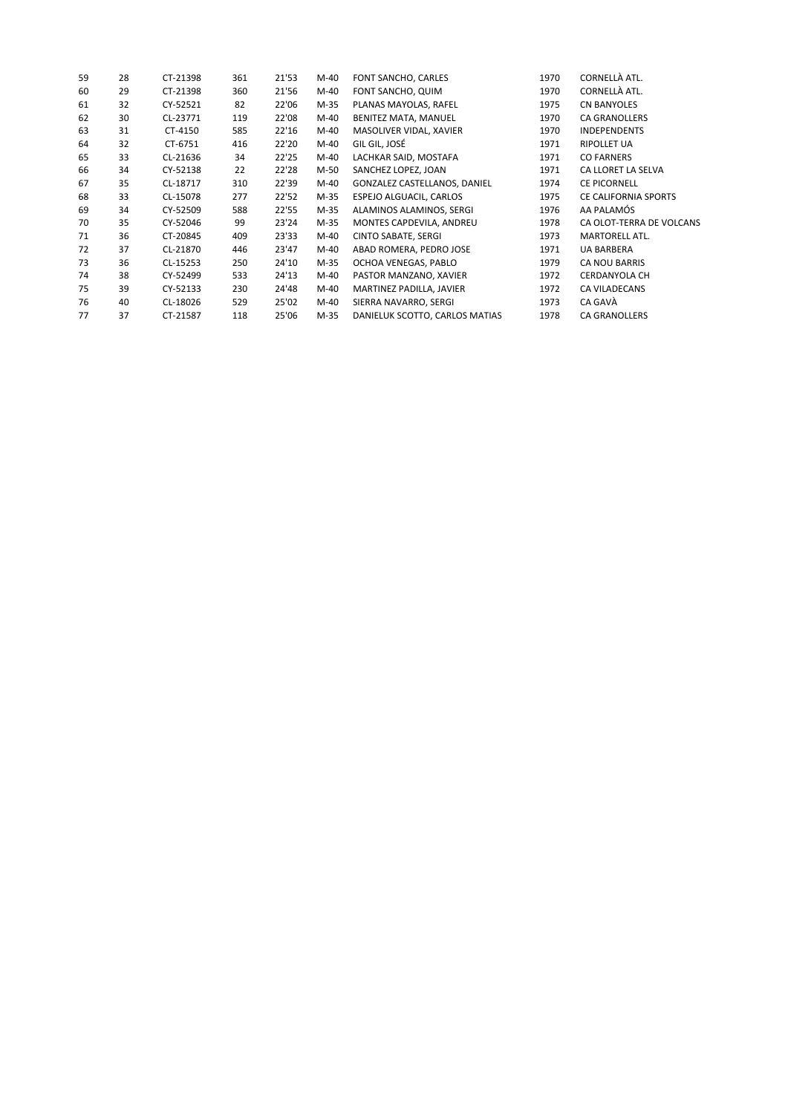| 59 | 28 | CT-21398 | 361 | 21'53 | $M-40$ | FONT SANCHO, CARLES            | 1970 | CORNELLÀ ATL.            |
|----|----|----------|-----|-------|--------|--------------------------------|------|--------------------------|
| 60 | 29 | CT-21398 | 360 | 21'56 | $M-40$ | FONT SANCHO, QUIM              | 1970 | CORNELLÀ ATL.            |
| 61 | 32 | CY-52521 | 82  | 22'06 | $M-35$ | PLANAS MAYOLAS, RAFEL          | 1975 | <b>CN BANYOLES</b>       |
| 62 | 30 | CL-23771 | 119 | 22'08 | M-40   | BENITEZ MATA, MANUEL           | 1970 | <b>CA GRANOLLERS</b>     |
| 63 | 31 | CT-4150  | 585 | 22'16 | M-40   | MASOLIVER VIDAL, XAVIER        | 1970 | <b>INDEPENDENTS</b>      |
| 64 | 32 | CT-6751  | 416 | 22'20 | $M-40$ | GIL GIL, JOSÉ                  | 1971 | <b>RIPOLLET UA</b>       |
| 65 | 33 | CL-21636 | 34  | 22'25 | M-40   | LACHKAR SAID, MOSTAFA          | 1971 | <b>CO FARNERS</b>        |
| 66 | 34 | CY-52138 | 22  | 22'28 | M-50   | SANCHEZ LOPEZ, JOAN            | 1971 | CA LLORET LA SELVA       |
| 67 | 35 | CL-18717 | 310 | 22'39 | M-40   | GONZALEZ CASTELLANOS, DANIEL   | 1974 | <b>CE PICORNELL</b>      |
| 68 | 33 | CL-15078 | 277 | 22'52 | M-35   | ESPEJO ALGUACIL, CARLOS        | 1975 | CE CALIFORNIA SPORTS     |
| 69 | 34 | CY-52509 | 588 | 22'55 | M-35   | ALAMINOS ALAMINOS, SERGI       | 1976 | AA PALAMÓS               |
| 70 | 35 | CY-52046 | 99  | 23'24 | $M-35$ | MONTES CAPDEVILA, ANDREU       | 1978 | CA OLOT-TERRA DE VOLCANS |
| 71 | 36 | CT-20845 | 409 | 23'33 | $M-40$ | <b>CINTO SABATE, SERGI</b>     | 1973 | MARTORELL ATL.           |
| 72 | 37 | CL-21870 | 446 | 23'47 | M-40   | ABAD ROMERA, PEDRO JOSE        | 1971 | <b>UA BARBERA</b>        |
| 73 | 36 | CL-15253 | 250 | 24'10 | $M-35$ | OCHOA VENEGAS, PABLO           | 1979 | CA NOU BARRIS            |
| 74 | 38 | CY-52499 | 533 | 24'13 | M-40   | PASTOR MANZANO, XAVIER         | 1972 | <b>CERDANYOLA CH</b>     |
| 75 | 39 | CY-52133 | 230 | 24'48 | M-40   | MARTINEZ PADILLA, JAVIER       | 1972 | <b>CA VILADECANS</b>     |
| 76 | 40 | CL-18026 | 529 | 25'02 | M-40   | SIERRA NAVARRO, SERGI          | 1973 | CA GAVÀ                  |
| 77 | 37 | CT-21587 | 118 | 25'06 | M-35   | DANIELUK SCOTTO, CARLOS MATIAS | 1978 | <b>CA GRANOLLERS</b>     |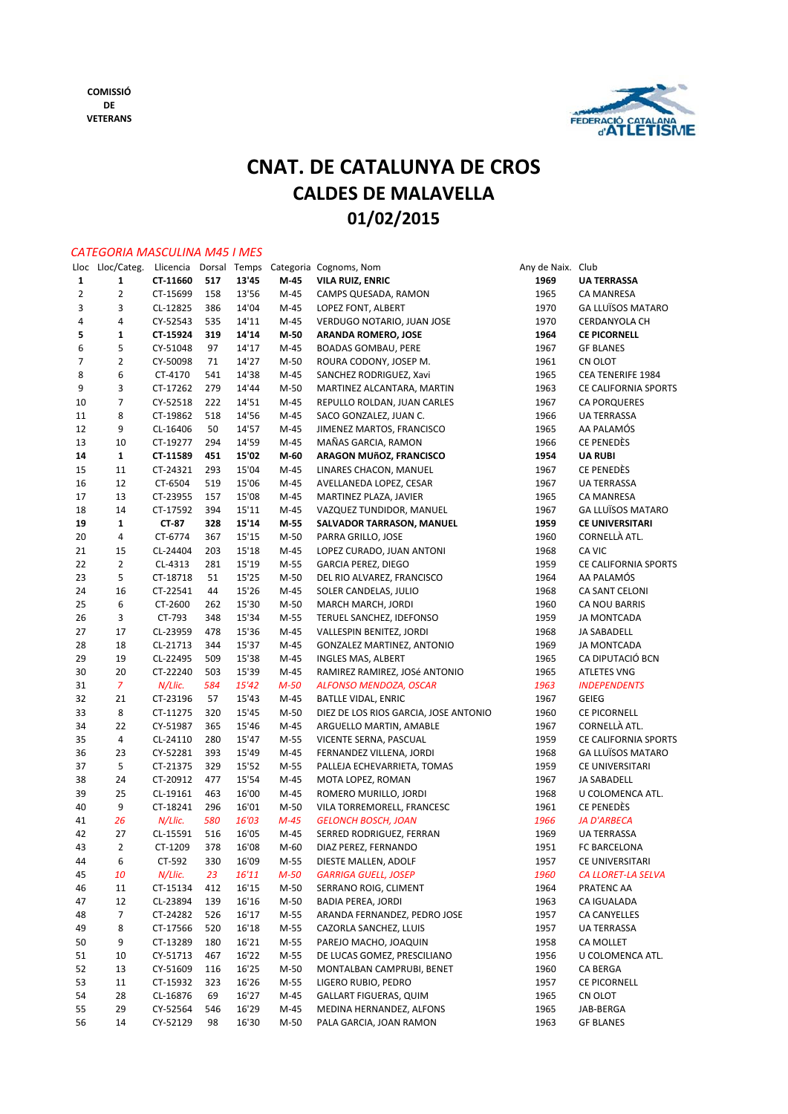

## **CNAT. DE CATALUNYA DE CROS CALDES DE MALAVELLA 01/02/2015**

#### *CATEGORIA MASCULINA M45 I MES*

| Lloc           | Lloc/Categ.    | Llicencia |     | Dorsal Temps |        | Categoria Cognoms, Nom                | Any de Naix. | Club                     |
|----------------|----------------|-----------|-----|--------------|--------|---------------------------------------|--------------|--------------------------|
| 1              | 1              | CT-11660  | 517 | 13'45        | M-45   | <b>VILA RUIZ, ENRIC</b>               | 1969         | <b>UA TERRASSA</b>       |
| $\overline{2}$ | $\overline{2}$ | CT-15699  | 158 | 13'56        | M-45   | CAMPS QUESADA, RAMON                  | 1965         | <b>CA MANRESA</b>        |
| 3              | 3              | CL-12825  | 386 | 14'04        | $M-45$ | LOPEZ FONT, ALBERT                    | 1970         | <b>GA LLUÏSOS MATARO</b> |
| 4              | 4              | CY-52543  | 535 | 14'11        | M-45   | VERDUGO NOTARIO, JUAN JOSE            | 1970         | CERDANYOLA CH            |
| 5              | 1              | CT-15924  | 319 | 14'14        | M-50   | <b>ARANDA ROMERO, JOSE</b>            | 1964         | <b>CE PICORNELL</b>      |
| 6              | 5              | CY-51048  | 97  | 14'17        | M-45   | <b>BOADAS GOMBAU, PERE</b>            | 1967         | <b>GF BLANES</b>         |
| 7              | $\overline{2}$ | CY-50098  | 71  | 14'27        | $M-50$ | ROURA CODONY, JOSEP M.                | 1961         | CN OLOT                  |
| 8              | 6              | CT-4170   | 541 | 14'38        | M-45   | SANCHEZ RODRIGUEZ, Xavi               | 1965         | CEA TENERIFE 1984        |
| 9              | 3              | CT-17262  | 279 | 14'44        | $M-50$ | MARTINEZ ALCANTARA, MARTIN            | 1963         | CE CALIFORNIA SPORTS     |
| 10             | $\overline{7}$ | CY-52518  | 222 | 14'51        | M-45   | REPULLO ROLDAN, JUAN CARLES           | 1967         | <b>CA PORQUERES</b>      |
| 11             | 8              | CT-19862  | 518 | 14'56        | $M-45$ | SACO GONZALEZ, JUAN C.                | 1966         | <b>UA TERRASSA</b>       |
| 12             | 9              | CL-16406  | 50  | 14'57        | M-45   | JIMENEZ MARTOS, FRANCISCO             | 1965         | AA PALAMÓS               |
| 13             | 10             | CT-19277  | 294 | 14'59        | M-45   | MAÑAS GARCIA, RAMON                   | 1966         | CE PENEDÈS               |
| 14             | $\mathbf{1}$   | CT-11589  | 451 | 15'02        | M-60   | ARAGON MUñOZ, FRANCISCO               | 1954         | <b>UA RUBI</b>           |
| 15             | 11             | CT-24321  | 293 | 15'04        | $M-45$ | LINARES CHACON, MANUEL                | 1967         | CE PENEDÈS               |
| 16             | 12             | CT-6504   | 519 | 15'06        | $M-45$ | AVELLANEDA LOPEZ, CESAR               | 1967         | UA TERRASSA              |
| 17             | 13             | CT-23955  | 157 | 15'08        | M-45   | MARTINEZ PLAZA, JAVIER                | 1965         | CA MANRESA               |
| 18             | 14             | CT-17592  | 394 | 15'11        | M-45   | VAZQUEZ TUNDIDOR, MANUEL              | 1967         | <b>GA LLUÏSOS MATARO</b> |
| 19             | $\mathbf{1}$   | CT-87     | 328 | 15'14        | M-55   | SALVADOR TARRASON, MANUEL             | 1959         | CE UNIVERSITARI          |
| 20             | 4              | CT-6774   | 367 | 15'15        | $M-50$ | PARRA GRILLO, JOSE                    | 1960         | CORNELLÀ ATL.            |
|                |                |           |     |              |        |                                       |              | CA VIC                   |
| 21             | 15             | CL-24404  | 203 | 15'18        | $M-45$ | LOPEZ CURADO, JUAN ANTONI             | 1968         |                          |
| 22             | $\overline{2}$ | CL-4313   | 281 | 15'19        | M-55   | <b>GARCIA PEREZ, DIEGO</b>            | 1959         | CE CALIFORNIA SPORTS     |
| 23             | 5              | CT-18718  | 51  | 15'25        | M-50   | DEL RIO ALVAREZ, FRANCISCO            | 1964         | AA PALAMÓS               |
| 24             | 16             | CT-22541  | 44  | 15'26        | M-45   | SOLER CANDELAS, JULIO                 | 1968         | CA SANT CELONI           |
| 25             | 6              | CT-2600   | 262 | 15'30        | $M-50$ | MARCH MARCH, JORDI                    | 1960         | CA NOU BARRIS            |
| 26             | 3              | CT-793    | 348 | 15'34        | M-55   | TERUEL SANCHEZ, IDEFONSO              | 1959         | <b>JA MONTCADA</b>       |
| 27             | 17             | CL-23959  | 478 | 15'36        | M-45   | VALLESPIN BENITEZ, JORDI              | 1968         | JA SABADELL              |
| 28             | 18             | CL-21713  | 344 | 15'37        | $M-45$ | GONZALEZ MARTINEZ, ANTONIO            | 1969         | <b>JA MONTCADA</b>       |
| 29             | 19             | CL-22495  | 509 | 15'38        | M-45   | INGLES MAS, ALBERT                    | 1965         | CA DIPUTACIÓ BCN         |
| 30             | 20             | CT-22240  | 503 | 15'39        | $M-45$ | RAMIREZ RAMIREZ, JOSé ANTONIO         | 1965         | <b>ATLETES VNG</b>       |
| 31             | 7              | N/Llic.   | 584 | 15'42        | $M-50$ | ALFONSO MENDOZA, OSCAR                | 1963         | <b>INDEPENDENTS</b>      |
| 32             | 21             | CT-23196  | 57  | 15'43        | M-45   | <b>BATLLE VIDAL, ENRIC</b>            | 1967         | GEIEG                    |
| 33             | 8              | CT-11275  | 320 | 15'45        | $M-50$ | DIEZ DE LOS RIOS GARCIA, JOSE ANTONIO | 1960         | CE PICORNELL             |
| 34             | 22             | CY-51987  | 365 | 15'46        | M-45   | ARGUELLO MARTIN, AMABLE               | 1967         | CORNELLÀ ATL.            |
| 35             | 4              | CL-24110  | 280 | 15'47        | M-55   | VICENTE SERNA, PASCUAL                | 1959         | CE CALIFORNIA SPORTS     |
| 36             | 23             | CY-52281  | 393 | 15'49        | $M-45$ | FERNANDEZ VILLENA, JORDI              | 1968         | GA LLUÏSOS MATARO        |
| 37             | 5              | CT-21375  | 329 | 15'52        | M-55   | PALLEJA ECHEVARRIETA, TOMAS           | 1959         | CE UNIVERSITARI          |
| 38             | 24             | CT-20912  | 477 | 15'54        | M-45   | MOTA LOPEZ, ROMAN                     | 1967         | JA SABADELL              |
| 39             | 25             | CL-19161  | 463 | 16'00        | M-45   | ROMERO MURILLO, JORDI                 | 1968         | U COLOMENCA ATL.         |
| 40             | 9              | CT-18241  | 296 | 16'01        | $M-50$ | VILA TORREMORELL, FRANCESC            | 1961         | <b>CE PENEDÈS</b>        |
| 41             | 26             | N/Llic.   | 580 | 16'03        | $M-45$ | <b>GELONCH BOSCH, JOAN</b>            | 1966         | <b>JA D'ARBECA</b>       |
| 42             | 27             | CL-15591  | 516 | 16'05        | M-45   | SERRED RODRIGUEZ, FERRAN              | 1969         | <b>UA TERRASSA</b>       |
| 43             | $\overline{2}$ | CT-1209   | 378 | 16'08        | M-60   | DIAZ PEREZ, FERNANDO                  | 1951         | FC BARCELONA             |
| 44             | 6              | CT-592    | 330 | 16'09        | M-55   | DIESTE MALLEN, ADOLF                  | 1957         | CE UNIVERSITARI          |
| 45             | 10             | N/Llic.   | 23  | 16'11        | $M-50$ | <b>GARRIGA GUELL, JOSEP</b>           | 1960         | CA LLORET-LA SELVA       |
| 46             | 11             | CT-15134  | 412 | 16'15        | M-50   | SERRANO ROIG, CLIMENT                 | 1964         | PRATENC AA               |
| 47             | 12             | CL-23894  | 139 | 16'16        | M-50   | <b>BADIA PEREA, JORDI</b>             | 1963         | CA IGUALADA              |
| 48             | 7              | CT-24282  | 526 | 16'17        | M-55   | ARANDA FERNANDEZ, PEDRO JOSE          | 1957         | CA CANYELLES             |
| 49             | 8              | CT-17566  | 520 | 16'18        | M-55   | CAZORLA SANCHEZ, LLUIS                | 1957         | UA TERRASSA              |
| 50             | 9              | CT-13289  | 180 | 16'21        | M-55   | PAREJO MACHO, JOAQUIN                 | 1958         | CA MOLLET                |
| 51             | 10             | CY-51713  | 467 | 16'22        | M-55   | DE LUCAS GOMEZ, PRESCILIANO           | 1956         | U COLOMENCA ATL.         |
| 52             | 13             | CY-51609  | 116 | 16'25        | M-50   | MONTALBAN CAMPRUBI, BENET             | 1960         | CA BERGA                 |
| 53             | 11             | CT-15932  | 323 | 16'26        | M-55   | LIGERO RUBIO, PEDRO                   | 1957         | CE PICORNELL             |
| 54             | 28             | CL-16876  | 69  | 16'27        | M-45   | <b>GALLART FIGUERAS, QUIM</b>         | 1965         | CN OLOT                  |
| 55             | 29             | CY-52564  | 546 | 16'29        | M-45   | MEDINA HERNANDEZ, ALFONS              | 1965         | JAB-BERGA                |
| 56             | 14             | CY-52129  | 98  | 16'30        | M-50   | PALA GARCIA, JOAN RAMON               | 1963         | <b>GF BLANES</b>         |
|                |                |           |     |              |        |                                       |              |                          |

| le Naix. Club |                                           |
|---------------|-------------------------------------------|
| 969           | <b>UA TERRASSA</b>                        |
| 965           | <b>CA MANRESA</b>                         |
| 970           | <b>GA LLUÏSOS MATARO</b>                  |
| 970           | <b>CERDANYOLA CH</b>                      |
| 964           | <b>CE PICORNELL</b>                       |
| 967           | <b>GF BLANES</b>                          |
| 961           | CN OLOT                                   |
| 965           |                                           |
| 963           | CEA TENERIFE 1984<br>CE CALIFORNIA SPORTS |
|               |                                           |
| 967           | <b>CA PORQUERES</b>                       |
| 966           | <b>UA TERRASSA</b>                        |
| 965           | AA PALAMÓS<br>CE PENEDÈS                  |
| 966           |                                           |
| 954           | <b>UA RUBI</b>                            |
| 967           | CE PENEDES                                |
| 967           | <b>UA TERRASSA</b>                        |
| 965           | <b>CA MANRESA</b>                         |
| 967           | <b>GA LLUÏSOS MATARO</b>                  |
| 959           | <b>CE UNIVERSITARI</b>                    |
| 960           | CORNELLÀ ATL.                             |
| 968           | CA VIC                                    |
| 959           | CE CALIFORNIA SPORTS                      |
| 964           | AA PALAMÓS                                |
| 968           | CA SANT CELONI                            |
| 960           | CA NOU BARRIS                             |
| 959           | <b>JA MONTCADA</b>                        |
| 968           | JA SABADELL                               |
| 969           | <b>JA MONTCADA</b>                        |
| 965           | CA DIPUTACIÓ BCN                          |
| 965           | <b>ATLETES VNG</b>                        |
| 963           | <b>INDEPENDENTS</b>                       |
| 967           | GEIEG                                     |
| 960           | <b>CE PICORNELL</b>                       |
| 967           | CORNELLÀ ATL.                             |
| 959           | CE CALIFORNIA SPORTS                      |
| 968           | <b>GA LLUISOS MATARO</b>                  |
| 959           | CE UNIVERSITARI                           |
| 967           | <b>JA SABADELL</b>                        |
| 968           | U COLOMENCA ATL.                          |
| 961           | CE PENEDÈS                                |
| 966           | <b>JA D'ARBECA</b>                        |
| 969           | <b>UA TERRASSA</b>                        |
| 951           | <b>BARCELONA</b><br>FС                    |
| 957           | CE UNIVERSITARI                           |
| 960           | CA LLORET-LA SELVA                        |
| 964           | PRATENC AA                                |
| 963           | CA IGUALADA                               |
| 957           | <b>CA CANYELLES</b>                       |
| 957           | <b>UA TERRASSA</b>                        |
| 958           | <b>CA MOLLET</b>                          |
| 956           | U COLOMENCA ATL.                          |
| 960           | CA BERGA                                  |
|               |                                           |
| 957           | CE PICORNELL                              |
| 965           | CN OLOT                                   |
| 965           | JAB-BERGA                                 |
| 963           | <b>GF BLANES</b>                          |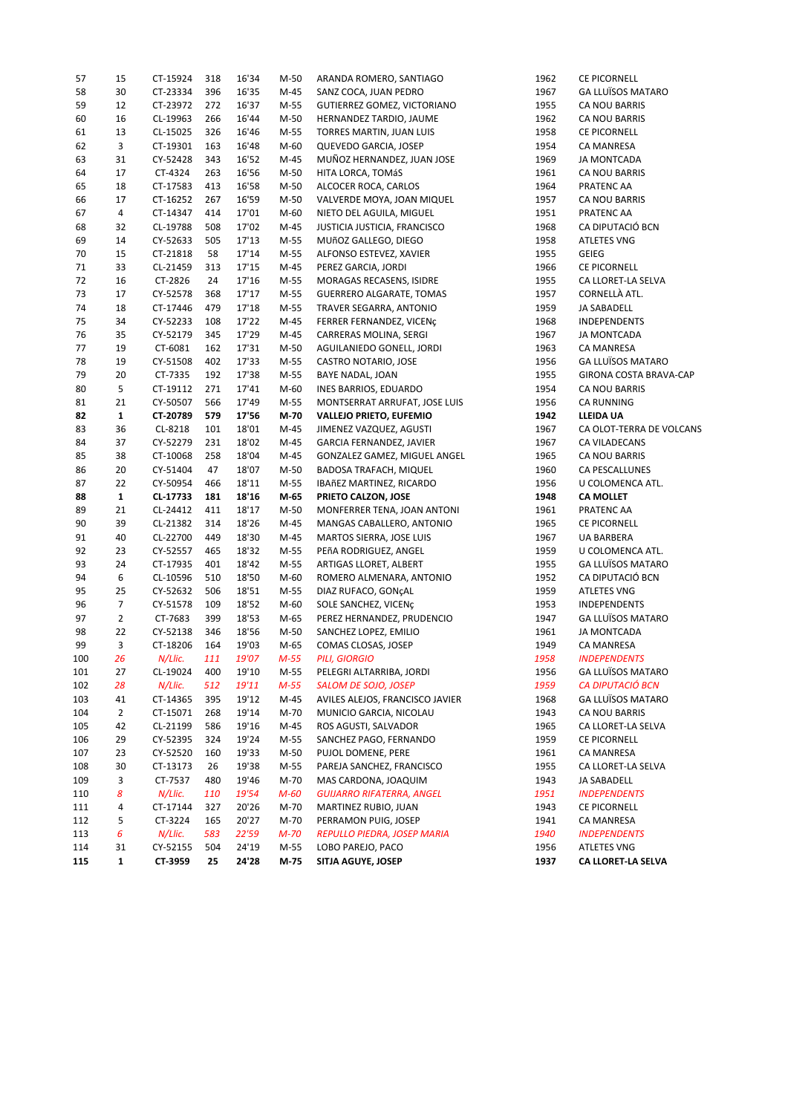| 57  | 15             | CT-15924 | 318 | 16'34 | $M-50$ | ARANDA ROMERO, SANTIAGO          | 1962 | CE PICORNELL             |
|-----|----------------|----------|-----|-------|--------|----------------------------------|------|--------------------------|
| 58  | 30             | CT-23334 | 396 | 16'35 | $M-45$ | SANZ COCA, JUAN PEDRO            | 1967 | <b>GA LLUÏSOS MATARO</b> |
| 59  | 12             | CT-23972 | 272 | 16'37 | M-55   | GUTIERREZ GOMEZ, VICTORIANO      | 1955 | CA NOU BARRIS            |
| 60  | 16             | CL-19963 | 266 | 16'44 | $M-50$ | HERNANDEZ TARDIO, JAUME          | 1962 | CA NOU BARRIS            |
| 61  | 13             | CL-15025 | 326 | 16'46 | M-55   | TORRES MARTIN, JUAN LUIS         | 1958 | CE PICORNELL             |
| 62  | 3              | CT-19301 | 163 | 16'48 | $M-60$ | QUEVEDO GARCIA, JOSEP            | 1954 | CA MANRESA               |
| 63  | 31             | CY-52428 | 343 | 16'52 | $M-45$ | MUÑOZ HERNANDEZ, JUAN JOSE       | 1969 | JA MONTCADA              |
| 64  | 17             | CT-4324  | 263 | 16'56 | $M-50$ | HITA LORCA, TOMÁS                | 1961 | CA NOU BARRIS            |
| 65  | 18             | CT-17583 | 413 | 16'58 | $M-50$ | ALCOCER ROCA, CARLOS             | 1964 | PRATENC AA               |
| 66  | 17             | CT-16252 | 267 | 16'59 | $M-50$ | VALVERDE MOYA, JOAN MIQUEL       | 1957 | CA NOU BARRIS            |
| 67  | 4              | CT-14347 | 414 | 17'01 | $M-60$ | NIETO DEL AGUILA, MIGUEL         | 1951 | PRATENC AA               |
| 68  | 32             | CL-19788 | 508 | 17'02 | M-45   | JUSTICIA JUSTICIA, FRANCISCO     | 1968 | CA DIPUTACIÓ BCN         |
| 69  | 14             | CY-52633 | 505 | 17'13 | M-55   | MUñOZ GALLEGO, DIEGO             | 1958 | <b>ATLETES VNG</b>       |
| 70  | 15             | CT-21818 | 58  | 17'14 | M-55   | ALFONSO ESTEVEZ, XAVIER          | 1955 | <b>GEIEG</b>             |
| 71  | 33             | CL-21459 | 313 | 17'15 | $M-45$ | PEREZ GARCIA, JORDI              | 1966 | CE PICORNELL             |
| 72  | 16             | CT-2826  | 24  | 17'16 |        |                                  | 1955 | CA LLORET-LA SELVA       |
|     |                |          |     |       | M-55   | MORAGAS RECASENS, ISIDRE         |      |                          |
| 73  | 17             | CY-52578 | 368 | 17'17 | M-55   | <b>GUERRERO ALGARATE, TOMAS</b>  | 1957 | CORNELLÀ ATL.            |
| 74  | 18             | CT-17446 | 479 | 17'18 | M-55   | TRAVER SEGARRA, ANTONIO          | 1959 | JA SABADELL              |
| 75  | 34             | CY-52233 | 108 | 17'22 | M-45   | FERRER FERNANDEZ, VICENÇ         | 1968 | INDEPENDENTS             |
| 76  | 35             | CY-52179 | 345 | 17'29 | $M-45$ | CARRERAS MOLINA, SERGI           | 1967 | <b>JA MONTCADA</b>       |
| 77  | 19             | CT-6081  | 162 | 17'31 | $M-50$ | AGUILANIEDO GONELL, JORDI        | 1963 | <b>CA MANRESA</b>        |
| 78  | 19             | CY-51508 | 402 | 17'33 | M-55   | CASTRO NOTARIO, JOSE             | 1956 | <b>GA LLUÏSOS MATARO</b> |
| 79  | 20             | CT-7335  | 192 | 17'38 | M-55   | BAYE NADAL, JOAN                 | 1955 | GIRONA COSTA BRAVA-CAP   |
| 80  | 5              | CT-19112 | 271 | 17'41 | $M-60$ | INES BARRIOS, EDUARDO            | 1954 | CA NOU BARRIS            |
| 81  | 21             | CY-50507 | 566 | 17'49 | M-55   | MONTSERRAT ARRUFAT, JOSE LUIS    | 1956 | CA RUNNING               |
| 82  | $\mathbf{1}$   | CT-20789 | 579 | 17'56 | M-70   | <b>VALLEJO PRIETO, EUFEMIO</b>   | 1942 | LLEIDA UA                |
| 83  | 36             | CL-8218  | 101 | 18'01 | $M-45$ | JIMENEZ VAZQUEZ, AGUSTI          | 1967 | CA OLOT-TERRA DE VOLCANS |
| 84  | 37             | CY-52279 | 231 | 18'02 | $M-45$ | GARCIA FERNANDEZ, JAVIER         | 1967 | CA VILADECANS            |
| 85  | 38             | CT-10068 | 258 | 18'04 | $M-45$ | GONZALEZ GAMEZ, MIGUEL ANGEL     | 1965 | CA NOU BARRIS            |
| 86  | 20             | CY-51404 | 47  | 18'07 | $M-50$ | <b>BADOSA TRAFACH, MIQUEL</b>    | 1960 | CA PESCALLUNES           |
| 87  | 22             | CY-50954 | 466 | 18'11 | M-55   | IBAñEZ MARTINEZ, RICARDO         | 1956 | U COLOMENCA ATL.         |
| 88  | $\mathbf{1}$   | CL-17733 | 181 | 18'16 | M-65   | PRIETO CALZON, JOSE              | 1948 | <b>CA MOLLET</b>         |
| 89  | 21             | CL-24412 | 411 | 18'17 | $M-50$ | MONFERRER TENA, JOAN ANTONI      | 1961 | PRATENC AA               |
| 90  | 39             | CL-21382 | 314 | 18'26 | $M-45$ | MANGAS CABALLERO, ANTONIO        | 1965 | CE PICORNELL             |
| 91  | 40             | CL-22700 | 449 | 18'30 | $M-45$ | MARTOS SIERRA, JOSE LUIS         | 1967 | <b>UA BARBERA</b>        |
| 92  | 23             | CY-52557 | 465 | 18'32 | M-55   | PEñA RODRIGUEZ, ANGEL            | 1959 | U COLOMENCA ATL.         |
| 93  | 24             | CT-17935 | 401 | 18'42 | M-55   | ARTIGAS LLORET, ALBERT           | 1955 | <b>GA LLUÏSOS MATARO</b> |
| 94  | 6              | CL-10596 | 510 | 18'50 | $M-60$ | ROMERO ALMENARA, ANTONIO         | 1952 | CA DIPUTACIÓ BCN         |
| 95  | 25             | CY-52632 | 506 | 18'51 | M-55   | DIAZ RUFACO, GONÇAL              | 1959 | <b>ATLETES VNG</b>       |
| 96  | $\overline{7}$ | CY-51578 | 109 | 18'52 | $M-60$ |                                  | 1953 | INDEPENDENTS             |
|     | $\overline{2}$ |          |     | 18'53 |        | SOLE SANCHEZ, VICENÇ             | 1947 |                          |
| 97  |                | CT-7683  | 399 |       | M-65   | PEREZ HERNANDEZ, PRUDENCIO       |      | <b>GA LLUÏSOS MATARO</b> |
| 98  | 22             | CY-52138 | 346 | 18'56 | M-50   | SANCHEZ LOPEZ, EMILIO            | 1961 | <b>JA MONTCADA</b>       |
| 99  | 3              | CT-18206 | 164 | 19'03 | M-65   | COMAS CLOSAS, JOSEP              | 1949 | CA MANRESA               |
| 100 | 26             | N/Llic.  | 111 | 19'07 | $M-55$ | <b>PILI, GIORGIO</b>             | 1958 | <b>INDEPENDENTS</b>      |
| 101 | 27             | CL-19024 | 400 | 19'10 | M-55   | PELEGRI ALTARRIBA, JORDI         | 1956 | GA LLUÏSOS MATARO        |
| 102 | 28             | N/Llic.  | 512 | 19'11 | $M-55$ | SALOM DE SOJO, JOSEP             | 1959 | <b>CA DIPUTACIÓ BCN</b>  |
| 103 | 41             | CT-14365 | 395 | 19'12 | M-45   | AVILES ALEJOS, FRANCISCO JAVIER  | 1968 | <b>GA LLUÏSOS MATARO</b> |
| 104 | $\overline{2}$ | CT-15071 | 268 | 19'14 | M-70   | MUNICIO GARCIA, NICOLAU          | 1943 | CA NOU BARRIS            |
| 105 | 42             | CL-21199 | 586 | 19'16 | M-45   | ROS AGUSTI, SALVADOR             | 1965 | CA LLORET-LA SELVA       |
| 106 | 29             | CY-52395 | 324 | 19'24 | M-55   | SANCHEZ PAGO, FERNANDO           | 1959 | CE PICORNELL             |
| 107 | 23             | CY-52520 | 160 | 19'33 | $M-50$ | PUJOL DOMENE, PERE               | 1961 | CA MANRESA               |
| 108 | 30             | CT-13173 | 26  | 19'38 | M-55   | PAREJA SANCHEZ, FRANCISCO        | 1955 | CA LLORET-LA SELVA       |
| 109 | 3              | CT-7537  | 480 | 19'46 | M-70   | MAS CARDONA, JOAQUIM             | 1943 | JA SABADELL              |
| 110 | 8              | N/Llic.  | 110 | 19'54 | M-60   | <b>GUIJARRO RIFATERRA, ANGEL</b> | 1951 | <b>INDEPENDENTS</b>      |
| 111 | 4              | CT-17144 | 327 | 20'26 | M-70   | MARTINEZ RUBIO, JUAN             | 1943 | <b>CE PICORNELL</b>      |
| 112 | 5              | CT-3224  | 165 | 20'27 | M-70   | PERRAMON PUIG, JOSEP             | 1941 | CA MANRESA               |
| 113 | 6              | N/Llic.  | 583 | 22'59 | M-70   | REPULLO PIEDRA, JOSEP MARIA      | 1940 | <b>INDEPENDENTS</b>      |
| 114 | 31             | CY-52155 | 504 | 24'19 | M-55   | LOBO PAREJO, PACO                | 1956 | <b>ATLETES VNG</b>       |
| 115 | $\mathbf{1}$   | CT-3959  | 25  | 24'28 | M-75   | SITJA AGUYE, JOSEP               | 1937 | CA LLORET-LA SELVA       |
|     |                |          |     |       |        |                                  |      |                          |

| 12                | <b><i>CE PICORNELL</i></b>   |
|-------------------|------------------------------|
| 7                 | <b>GA LLUÏSOS MATARO</b>     |
| 5                 | CA NOU BARRIS                |
| 12                | CA NOU BARRIS                |
| 8                 | <b><i>CE PICORNELL</i></b>   |
| 4                 | <b>CA MANRESA</b>            |
| 9                 | <b>JA MONTCADA</b>           |
| $\mathbf 1$       | CA NOU BARRIS                |
| 4                 | PRATENC AA                   |
| 7                 | <b>CA NOU BARRIS</b>         |
| $\mathbf 1$       | PRATENC AA                   |
| 8                 | CA DIPUTACIÓ BCN             |
| 8                 | <b>ATLETES VNG</b>           |
| 5                 | GEIEG                        |
|                   |                              |
| 6                 | CE PICORNELL                 |
| 5                 | CA LLORET-LA SELVA           |
| 7                 | CORNELLÀ ATL.                |
| 9                 | JA SABADELL                  |
| 8                 | <b>INDEPENDENTS</b>          |
| 7                 | <b>JA MONTCADA</b>           |
| З                 | <b>CA MANRESA</b>            |
| 6                 | <b>GA LLUÏSOS MATARO</b>     |
| 5                 | <b>GIRONA COSTA BRAVA-CA</b> |
| 4                 | <b>CA NOU BARRIS</b>         |
| 6                 | <b>CA RUNNING</b>            |
| $\mathbf{2}$      | LLEIDA UA                    |
| 7                 | CA OLOT-TERRA DE VOLCA       |
| 7                 | CA VILADECANS                |
| 5                 | <b>CA NOU BARRIS</b>         |
| i0                | CA PESCALLUNES               |
| 6                 | U COLOMENCA ATL.             |
| 8                 | CA MOLLET                    |
| $\overline{1}$    | PRATENC AA                   |
| 5                 | CE PICORNELL                 |
| 7                 | UA BARBERA                   |
| 9                 | U COLOMENCA ATL.             |
| 5                 | <b>GA LLUÏSOS MATARO</b>     |
| $\overline{2}$    |                              |
|                   | CA DIPUTACIÓ BCN             |
| 9                 | <b>ATLETES VNG</b>           |
| З                 | <b>INDEPENDENTS</b>          |
| 7                 | <b>GA LLUÏSOS MATARO</b>     |
| $\mathbf 1$       | <b>JA MONTCADA</b>           |
| 9                 | <b>CA MANRESA</b>            |
| 8                 | <b>INDEPENDENTS</b>          |
| 6                 | <b>GA LLUÏSOS MATARO</b>     |
| 9                 | <b>CA DIPUTACIÓ BCN</b>      |
| 8                 | <b>GA LLUÏSOS MATARO</b>     |
| 3                 | CA NOU BARRIS                |
| 5                 | CA LLORET-LA SELVA           |
| 9                 | CE PICORNELL                 |
| $\mathbf 1$       | <b>CA MANRESA</b>            |
| 5                 | CA LLORET-LA SELVA           |
| 3                 | JA SABADELL                  |
| 1                 | <b>INDEPENDENTS</b>          |
| 3                 | <b>CE PICORNELL</b>          |
| $\cdot\mathbf{1}$ | <b>CA MANRESA</b>            |
| 0                 | <b>INDEPENDENTS</b>          |
| 6                 | <b>ATLETES VNG</b>           |
| 7                 | <b>CA LLORET-LA SELVA</b>    |
|                   |                              |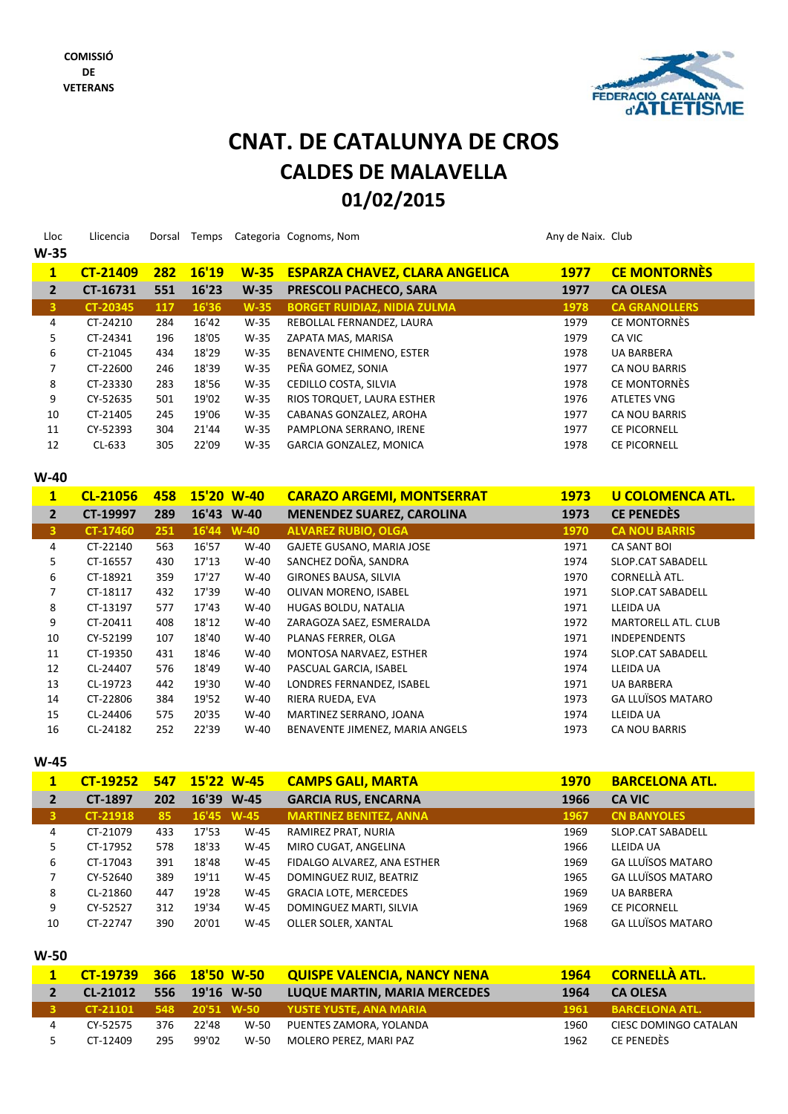

# **CNAT. DE CATALUNYA DE CROS CALDES DE MALAVELLA 01/02/2015**

| Lloc           | Llicencia       | Dorsal     | Temps |        | Categoria Cognoms, Nom                | Any de Naix. Club |                      |
|----------------|-----------------|------------|-------|--------|---------------------------------------|-------------------|----------------------|
| $W-35$         |                 |            |       |        |                                       |                   |                      |
| $\mathbf{1}$   | <b>CT-21409</b> | 282        | 16'19 | $W-35$ | <b>ESPARZA CHAVEZ, CLARA ANGELICA</b> | 1977              | <b>CE MONTORNÈS</b>  |
| $\overline{2}$ | CT-16731        | 551        | 16'23 | $W-35$ | <b>PRESCOLI PACHECO, SARA</b>         | 1977              | <b>CA OLESA</b>      |
| 3              | <b>CT-20345</b> | <b>117</b> | 16'36 | $W-35$ | <b>BORGET RUIDIAZ, NIDIA ZULMA</b>    | 1978              | <b>CA GRANOLLERS</b> |
| 4              | CT-24210        | 284        | 16'42 | $W-35$ | REBOLLAL FERNANDEZ, LAURA             | 1979              | CE MONTORNÈS         |
| 5              | CT-24341        | 196        | 18'05 | $W-35$ | ZAPATA MAS, MARISA                    | 1979              | CA VIC               |
| 6              | CT-21045        | 434        | 18'29 | $W-35$ | BENAVENTE CHIMENO, ESTER              | 1978              | <b>UA BARBERA</b>    |
| 7              | CT-22600        | 246        | 18'39 | $W-35$ | PEÑA GOMEZ, SONIA                     | 1977              | <b>CA NOU BARRIS</b> |
| 8              | CT-23330        | 283        | 18'56 | W-35   | CEDILLO COSTA, SILVIA                 | 1978              | CE MONTORNÈS         |
| 9              | CY-52635        | 501        | 19'02 | $W-35$ | RIOS TORQUET, LAURA ESTHER            | 1976              | <b>ATLETES VNG</b>   |
| 10             | CT-21405        | 245        | 19'06 | W-35   | CABANAS GONZALEZ, AROHA               | 1977              | <b>CA NOU BARRIS</b> |
| 11             | CY-52393        | 304        | 21'44 | $W-35$ | PAMPLONA SERRANO, IRENE               | 1977              | <b>CE PICORNELL</b>  |
| 12             | $CL-633$        | 305        | 22'09 | $W-35$ | <b>GARCIA GONZALEZ, MONICA</b>        | 1978              | <b>CE PICORNELL</b>  |

**W‐40**

| $\mathbf{1}$   | CL-21056 | 458 |            | 15'20 W-40 | <b>CARAZO ARGEMI, MONTSERRAT</b> | <b>1973</b> | <b>U COLOMENCA ATL.</b>  |
|----------------|----------|-----|------------|------------|----------------------------------|-------------|--------------------------|
| $\overline{2}$ | CT-19997 | 289 |            | 16'43 W-40 | <b>MENENDEZ SUAREZ, CAROLINA</b> | 1973        | <b>CE PENEDÈS</b>        |
| 3              | CT-17460 | 251 | 16'44 W-40 |            | <b>ALVAREZ RUBIO, OLGA</b>       | 1970        | <b>CA NOU BARRIS</b>     |
| 4              | CT-22140 | 563 | 16'57      | $W-40$     | GAJETE GUSANO, MARIA JOSE        | 1971        | <b>CA SANT BOI</b>       |
| 5              | CT-16557 | 430 | 17'13      | $W-40$     | SANCHEZ DOÑA, SANDRA             | 1974        | SLOP.CAT SABADELL        |
| 6              | CT-18921 | 359 | 17'27      | $W-40$     | <b>GIRONES BAUSA, SILVIA</b>     | 1970        | CORNELLÀ ATL.            |
| 7              | CT-18117 | 432 | 17'39      | $W-40$     | OLIVAN MORENO, ISABEL            | 1971        | SLOP.CAT SABADELL        |
| 8              | CT-13197 | 577 | 17'43      | $W-40$     | HUGAS BOLDU, NATALIA             | 1971        | LLEIDA UA                |
| 9              | CT-20411 | 408 | 18'12      | $W-40$     | ZARAGOZA SAEZ, ESMERALDA         | 1972        | MARTORELL ATL. CLUB      |
| 10             | CY-52199 | 107 | 18'40      | $W-40$     | PLANAS FERRER, OLGA              | 1971        | <b>INDEPENDENTS</b>      |
| 11             | CT-19350 | 431 | 18'46      | $W-40$     | MONTOSA NARVAEZ, ESTHER          | 1974        | <b>SLOP.CAT SABADELL</b> |
| 12             | CL-24407 | 576 | 18'49      | $W-40$     | PASCUAL GARCIA, ISABEL           | 1974        | LLEIDA UA                |
| 13             | CL-19723 | 442 | 19'30      | $W-40$     | LONDRES FERNANDEZ, ISABEL        | 1971        | <b>UA BARBERA</b>        |
| 14             | CT-22806 | 384 | 19'52      | $W-40$     | RIERA RUEDA, EVA                 | 1973        | <b>GA LLUÏSOS MATARO</b> |
| 15             | CL-24406 | 575 | 20'35      | $W-40$     | MARTINEZ SERRANO, JOANA          | 1974        | LLEIDA UA                |
| 16             | CL-24182 | 252 | 22'39      | $W-40$     | BENAVENTE JIMENEZ, MARIA ANGELS  | 1973        | <b>CA NOU BARRIS</b>     |

#### **W‐45**

| $\mathbf{1}$ | <b>CT-19252</b> | 547 | 15'22 W-45 |            | <b>CAMPS GALI, MARTA</b>      | 1970 | <b>BARCELONA ATL.</b>    |
|--------------|-----------------|-----|------------|------------|-------------------------------|------|--------------------------|
|              | CT-1897         | 202 |            | 16'39 W-45 | <b>GARCIA RUS, ENCARNA</b>    | 1966 | <b>CA VIC</b>            |
| 3            | <b>CT-21918</b> | 85  |            | 16'45 W-45 | <b>MARTINEZ BENITEZ, ANNA</b> | 1967 | <b>CN BANYOLES</b>       |
| 4            | CT-21079        | 433 | 17'53      | $W-45$     | RAMIREZ PRAT, NURIA           | 1969 | SLOP.CAT SABADELL        |
|              | CT-17952        | 578 | 18'33      | $W-45$     | MIRO CUGAT, ANGELINA          | 1966 | LLEIDA UA                |
| 6            | CT-17043        | 391 | 18'48      | $W-45$     | FIDALGO ALVAREZ, ANA ESTHER   | 1969 | <b>GA LLUÏSOS MATARO</b> |
|              | CY-52640        | 389 | 19'11      | $W-45$     | DOMINGUEZ RUIZ, BEATRIZ       | 1965 | <b>GA LLUÏSOS MATARO</b> |
| 8            | CL-21860        | 447 | 19'28      | $W-45$     | <b>GRACIA LOTE, MERCEDES</b>  | 1969 | <b>UA BARBERA</b>        |
| 9            | CY-52527        | 312 | 19'34      | $W-45$     | DOMINGUEZ MARTI, SILVIA       | 1969 | <b>CE PICORNELL</b>      |
| 10           | CT-22747        | 390 | 20'01      | $W-45$     | OLLER SOLER, XANTAL           | 1968 | <b>GA LLUÏSOS MATARO</b> |

| v | ×<br>۰.<br>۰. |
|---|---------------|
|---|---------------|

| CT-19739 366 18'50 W-50 |     |       |      | <b>QUISPE VALENCIA, NANCY NENA</b>               |      | 1964 CORNELLÀ ATL.    |
|-------------------------|-----|-------|------|--------------------------------------------------|------|-----------------------|
| CL-21012 556 19'16 W-50 |     |       |      | <b>LUQUE MARTIN, MARIA MERCEDES</b>              | 1964 | <b>CA OLESA</b>       |
|                         |     |       |      | 3 CT-21101 548 20'51 W-50 YUSTE YUSTE, ANA MARIA |      | 1961 BARCELONA ATL.   |
| CY-52575                | 376 | 22'48 | W-50 | PUENTES ZAMORA, YOLANDA                          | 1960 | CIESC DOMINGO CATALAN |
| CT-12409                | 295 | 99'02 | W-50 | MOLERO PEREZ, MARI PAZ                           | 1962 | CE PENEDÈS            |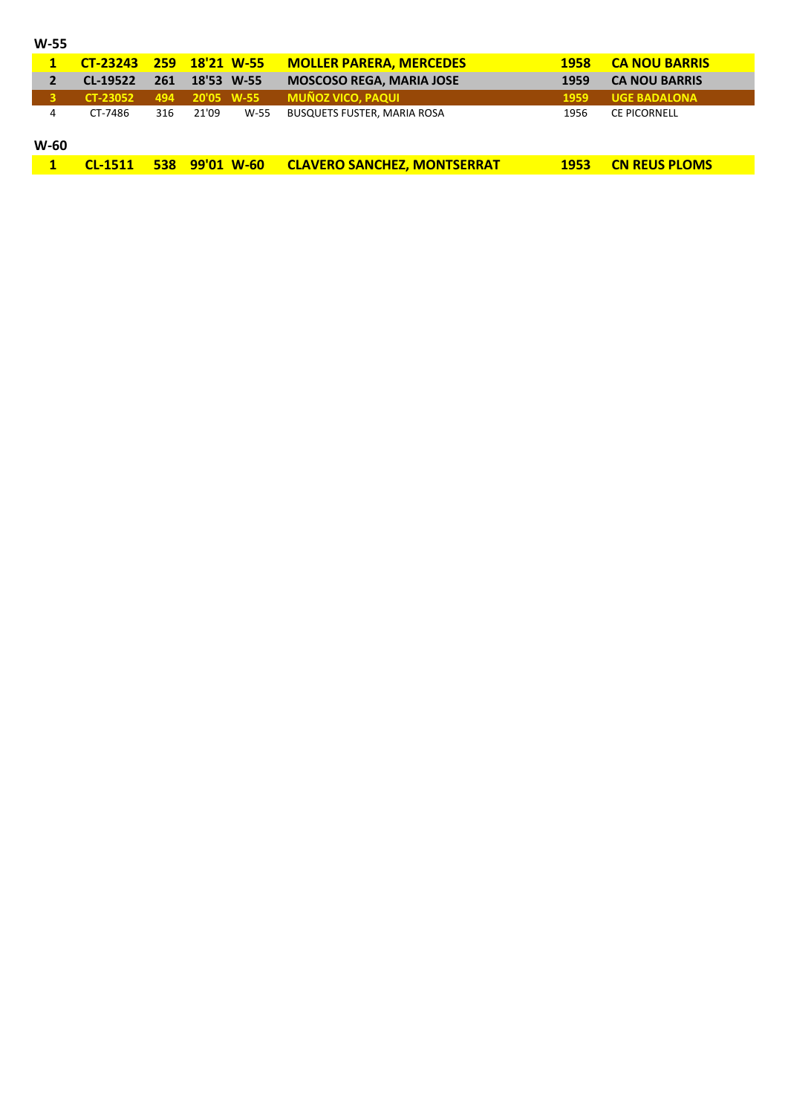|        | CT-23243 259 18'21 W-55 |     |                |      | <b>MOLLER PARERA, MERCEDES</b>     | <b>1958</b> | <b>CA NOU BARRIS</b> |
|--------|-------------------------|-----|----------------|------|------------------------------------|-------------|----------------------|
|        | CL-19522                | 261 | 18'53 W-55     |      | <b>MOSCOSO REGA, MARIA JOSE</b>    | 1959        | <b>CA NOU BARRIS</b> |
|        | <b>CT-23052</b>         | 494 | 20'05 W-55     |      | <b>MUÑOZ VICO, PAQUI</b>           | 1959        | <b>UGE BADALONA</b>  |
| 4      | CT-7486                 | 316 | 21'09          | W-55 | <b>BUSQUETS FUSTER, MARIA ROSA</b> | 1956        | <b>CE PICORNELL</b>  |
| $W-60$ |                         |     |                |      |                                    |             |                      |
|        | <b>CL-1511</b>          |     | 538 99'01 W-60 |      | <b>CLAVERO SANCHEZ, MONTSERRAT</b> | <b>1953</b> | <b>CN REUS PLOMS</b> |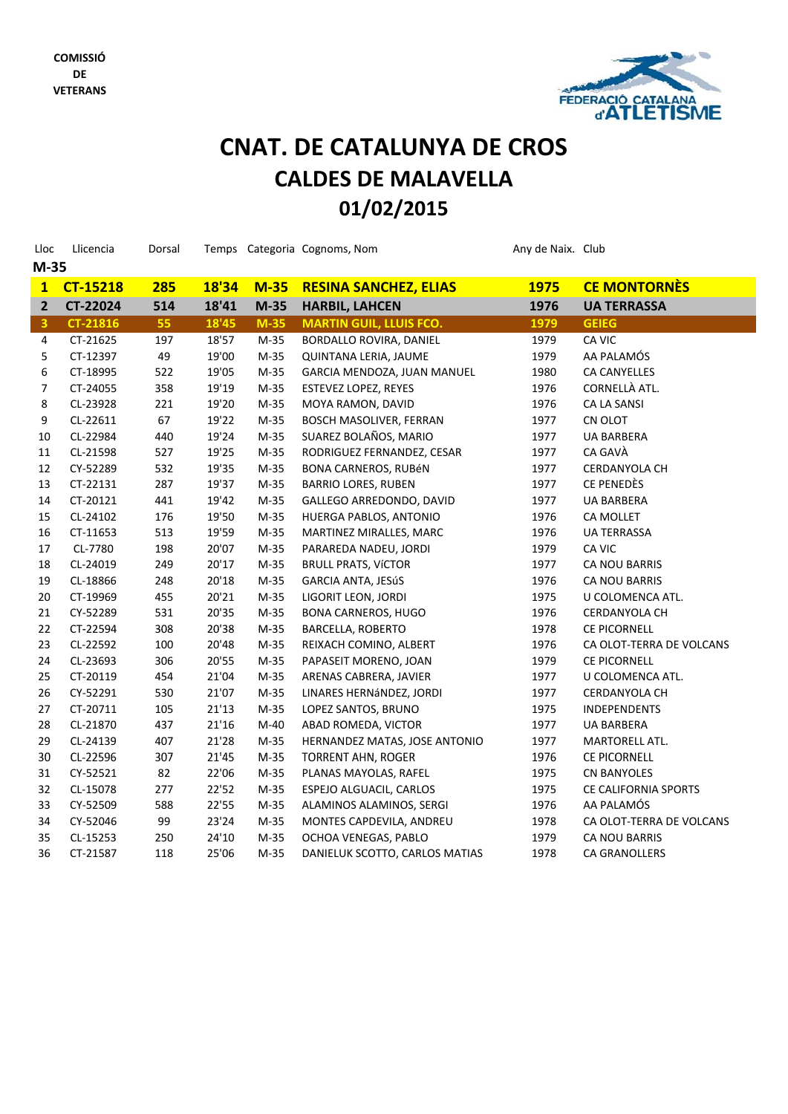

# **01/02/2015 CNAT. DE CATALUNYA DE CROS CALDES DE MALAVELLA**

| Lloc                    | Llicencia  | Dorsal     |       |        | Temps Categoria Cognoms, Nom   | Any de Naix. Club |                          |  |  |
|-------------------------|------------|------------|-------|--------|--------------------------------|-------------------|--------------------------|--|--|
| $M-35$                  |            |            |       |        |                                |                   |                          |  |  |
|                         | 1 CT-15218 | <b>285</b> | 18'34 | $M-35$ | <b>RESINA SANCHEZ, ELIAS</b>   | <b>1975</b>       | <b>CE MONTORNÈS</b>      |  |  |
| $\overline{2}$          | CT-22024   | 514        | 18'41 | $M-35$ | <b>HARBIL, LAHCEN</b>          | 1976              | <b>UA TERRASSA</b>       |  |  |
| $\overline{\mathbf{3}}$ | CT-21816   | 55         | 18'45 | $M-35$ | <b>MARTIN GUIL, LLUIS FCO.</b> | 1979              | <b>GEIEG</b>             |  |  |
| 4                       | CT-21625   | 197        | 18'57 | $M-35$ | BORDALLO ROVIRA, DANIEL        | 1979              | CA VIC                   |  |  |
| 5                       | CT-12397   | 49         | 19'00 | $M-35$ | QUINTANA LERIA, JAUME          | 1979              | AA PALAMÓS               |  |  |
| 6                       | CT-18995   | 522        | 19'05 | $M-35$ | GARCIA MENDOZA, JUAN MANUEL    | 1980              | <b>CA CANYELLES</b>      |  |  |
| 7                       | CT-24055   | 358        | 19'19 | $M-35$ | <b>ESTEVEZ LOPEZ, REYES</b>    | 1976              | CORNELLÀ ATL.            |  |  |
| 8                       | CL-23928   | 221        | 19'20 | $M-35$ | MOYA RAMON, DAVID              | 1976              | CA LA SANSI              |  |  |
| 9                       | CL-22611   | 67         | 19'22 | $M-35$ | <b>BOSCH MASOLIVER, FERRAN</b> | 1977              | CN OLOT                  |  |  |
| 10                      | CL-22984   | 440        | 19'24 | $M-35$ | SUAREZ BOLAÑOS, MARIO          | 1977              | <b>UA BARBERA</b>        |  |  |
| 11                      | CL-21598   | 527        | 19'25 | $M-35$ | RODRIGUEZ FERNANDEZ, CESAR     | 1977              | CA GAVÀ                  |  |  |
| 12                      | CY-52289   | 532        | 19'35 | $M-35$ | BONA CARNEROS, RUBÉN           | 1977              | CERDANYOLA CH            |  |  |
| 13                      | CT-22131   | 287        | 19'37 | $M-35$ | <b>BARRIO LORES, RUBEN</b>     | 1977              | CE PENEDÈS               |  |  |
| 14                      | CT-20121   | 441        | 19'42 | $M-35$ | GALLEGO ARREDONDO, DAVID       | 1977              | <b>UA BARBERA</b>        |  |  |
| 15                      | CL-24102   | 176        | 19'50 | $M-35$ | HUERGA PABLOS, ANTONIO         | 1976              | CA MOLLET                |  |  |
| 16                      | CT-11653   | 513        | 19'59 | $M-35$ | MARTINEZ MIRALLES, MARC        | 1976              | <b>UA TERRASSA</b>       |  |  |
| 17                      | CL-7780    | 198        | 20'07 | $M-35$ | PARAREDA NADEU, JORDI          | 1979              | CA VIC                   |  |  |
| 18                      | CL-24019   | 249        | 20'17 | $M-35$ | <b>BRULL PRATS, VÍCTOR</b>     | 1977              | <b>CA NOU BARRIS</b>     |  |  |
| 19                      | CL-18866   | 248        | 20'18 | $M-35$ | GARCIA ANTA, JESúS             | 1976              | <b>CA NOU BARRIS</b>     |  |  |
| 20                      | CT-19969   | 455        | 20'21 | $M-35$ | LIGORIT LEON, JORDI            | 1975              | U COLOMENCA ATL.         |  |  |
| 21                      | CY-52289   | 531        | 20'35 | $M-35$ | <b>BONA CARNEROS, HUGO</b>     | 1976              | <b>CERDANYOLA CH</b>     |  |  |
| 22                      | CT-22594   | 308        | 20'38 | $M-35$ | <b>BARCELLA, ROBERTO</b>       | 1978              | <b>CE PICORNELL</b>      |  |  |
| 23                      | CL-22592   | 100        | 20'48 | $M-35$ | REIXACH COMINO, ALBERT         | 1976              | CA OLOT-TERRA DE VOLCANS |  |  |
| 24                      | CL-23693   | 306        | 20'55 | $M-35$ | PAPASEIT MORENO, JOAN          | 1979              | <b>CE PICORNELL</b>      |  |  |
| 25                      | CT-20119   | 454        | 21'04 | $M-35$ | ARENAS CABRERA, JAVIER         | 1977              | U COLOMENCA ATL.         |  |  |
| 26                      | CY-52291   | 530        | 21'07 | $M-35$ | LINARES HERNÁNDEZ, JORDI       | 1977              | CERDANYOLA CH            |  |  |
| 27                      | CT-20711   | 105        | 21'13 | $M-35$ | LOPEZ SANTOS, BRUNO            | 1975              | <b>INDEPENDENTS</b>      |  |  |
| 28                      | CL-21870   | 437        | 21'16 | $M-40$ | ABAD ROMEDA, VICTOR            | 1977              | <b>UA BARBERA</b>        |  |  |
| 29                      | CL-24139   | 407        | 21'28 | $M-35$ | HERNANDEZ MATAS, JOSE ANTONIO  | 1977              | MARTORELL ATL.           |  |  |
| 30                      | CL-22596   | 307        | 21'45 | $M-35$ | <b>TORRENT AHN, ROGER</b>      | 1976              | <b>CE PICORNELL</b>      |  |  |
| 31                      | CY-52521   | 82         | 22'06 | $M-35$ | PLANAS MAYOLAS, RAFEL          | 1975              | <b>CN BANYOLES</b>       |  |  |
| 32                      | CL-15078   | 277        | 22'52 | $M-35$ | ESPEJO ALGUACIL, CARLOS        | 1975              | CE CALIFORNIA SPORTS     |  |  |
| 33                      | CY-52509   | 588        | 22'55 | $M-35$ | ALAMINOS ALAMINOS, SERGI       | 1976              | AA PALAMÓS               |  |  |
| 34                      | CY-52046   | 99         | 23'24 | $M-35$ | MONTES CAPDEVILA, ANDREU       | 1978              | CA OLOT-TERRA DE VOLCANS |  |  |
| 35                      | CL-15253   | 250        | 24'10 | $M-35$ | OCHOA VENEGAS, PABLO           | 1979              | CA NOU BARRIS            |  |  |
| 36                      | CT-21587   | 118        | 25'06 | $M-35$ | DANIELUK SCOTTO, CARLOS MATIAS | 1978              | <b>CA GRANOLLERS</b>     |  |  |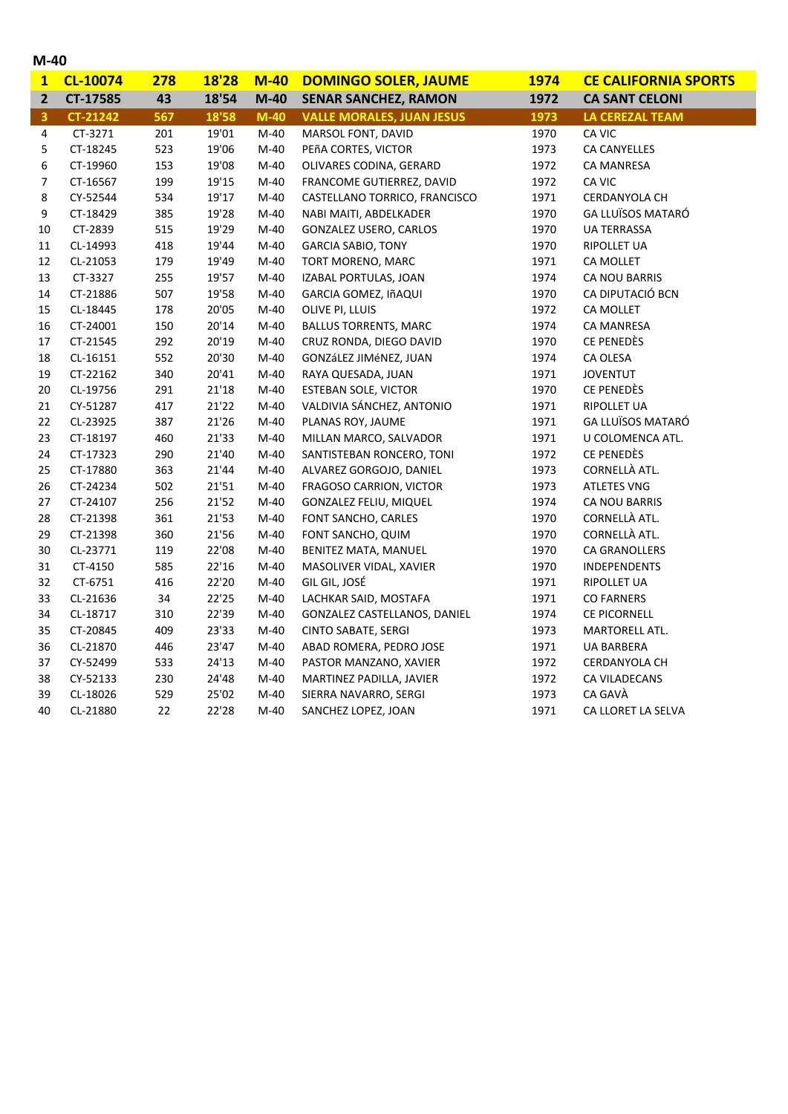|  | ×<br>۰. |
|--|---------|
|--|---------|

| $\overline{\mathbf{1}}$ | CL-10074        | 278 | 18'28 | $M-40$ | <b>DOMINGO SOLER, JAUME</b>      | <b>1974</b> | <b>CE CALIFORNIA SPORTS</b> |
|-------------------------|-----------------|-----|-------|--------|----------------------------------|-------------|-----------------------------|
| $\overline{2}$          | CT-17585        | 43  | 18'54 | $M-40$ | <b>SENAR SANCHEZ, RAMON</b>      | 1972        | <b>CA SANT CELONI</b>       |
| $\overline{\mathbf{3}}$ | <b>CT-21242</b> | 567 | 18'58 | $M-40$ | <b>VALLE MORALES, JUAN JESUS</b> | 1973        | <b>LA CEREZAL TEAM</b>      |
| 4                       | CT-3271         | 201 | 19'01 | $M-40$ | MARSOL FONT, DAVID               | 1970        | CA VIC                      |
| 5                       | CT-18245        | 523 | 19'06 | $M-40$ | PEñA CORTES, VICTOR              | 1973        | <b>CA CANYELLES</b>         |
| 6                       | CT-19960        | 153 | 19'08 | M-40   | OLIVARES CODINA, GERARD          | 1972        | <b>CA MANRESA</b>           |
| 7                       | CT-16567        | 199 | 19'15 | $M-40$ | FRANCOME GUTIERREZ, DAVID        | 1972        | CA VIC                      |
| 8                       | CY-52544        | 534 | 19'17 | $M-40$ | CASTELLANO TORRICO, FRANCISCO    | 1971        | CERDANYOLA CH               |
| 9                       | CT-18429        | 385 | 19'28 | $M-40$ | NABI MAITI, ABDELKADER           | 1970        | GA LLUÏSOS MATARÓ           |
| $10\,$                  | CT-2839         | 515 | 19'29 | $M-40$ | GONZALEZ USERO, CARLOS           | 1970        | <b>UA TERRASSA</b>          |
| $11\,$                  | CL-14993        | 418 | 19'44 | $M-40$ | <b>GARCIA SABIO, TONY</b>        | 1970        | RIPOLLET UA                 |
| 12                      | CL-21053        | 179 | 19'49 | $M-40$ | TORT MORENO, MARC                | 1971        | CA MOLLET                   |
| 13                      | CT-3327         | 255 | 19'57 | M-40   | IZABAL PORTULAS, JOAN            | 1974        | CA NOU BARRIS               |
| $14\,$                  | CT-21886        | 507 | 19'58 | $M-40$ | GARCIA GOMEZ, IñAQUI             | 1970        | CA DIPUTACIÓ BCN            |
| 15                      | CL-18445        | 178 | 20'05 | $M-40$ | OLIVE PI, LLUIS                  | 1972        | CA MOLLET                   |
| 16                      | CT-24001        | 150 | 20'14 | M-40   | <b>BALLUS TORRENTS, MARC</b>     | 1974        | <b>CA MANRESA</b>           |
| 17                      | CT-21545        | 292 | 20'19 | $M-40$ | CRUZ RONDA, DIEGO DAVID          | 1970        | CE PENEDÈS                  |
| 18                      | CL-16151        | 552 | 20'30 | $M-40$ | GONZáLEZ JIMéNEZ, JUAN           | 1974        | CA OLESA                    |
| 19                      | CT-22162        | 340 | 20'41 | $M-40$ | RAYA QUESADA, JUAN               | 1971        | <b>JOVENTUT</b>             |
| 20                      | CL-19756        | 291 | 21'18 | $M-40$ | ESTEBAN SOLE, VICTOR             | 1970        | CE PENEDÈS                  |
| 21                      | CY-51287        | 417 | 21'22 | $M-40$ | VALDIVIA SÁNCHEZ, ANTONIO        | 1971        | <b>RIPOLLET UA</b>          |
| 22                      | CL-23925        | 387 | 21'26 | $M-40$ | PLANAS ROY, JAUME                | 1971        | GA LLUÏSOS MATARÓ           |
| 23                      | CT-18197        | 460 | 21'33 | $M-40$ | MILLAN MARCO, SALVADOR           | 1971        | U COLOMENCA ATL.            |
| 24                      | CT-17323        | 290 | 21'40 | $M-40$ | SANTISTEBAN RONCERO, TONI        | 1972        | CE PENEDÈS                  |
| 25                      | CT-17880        | 363 | 21'44 | $M-40$ | ALVAREZ GORGOJO, DANIEL          | 1973        | CORNELLÀ ATL.               |
| 26                      | CT-24234        | 502 | 21'51 | M-40   | <b>FRAGOSO CARRION, VICTOR</b>   | 1973        | <b>ATLETES VNG</b>          |
| 27                      | CT-24107        | 256 | 21'52 | M-40   | <b>GONZALEZ FELIU, MIQUEL</b>    | 1974        | CA NOU BARRIS               |
| 28                      | CT-21398        | 361 | 21'53 | $M-40$ | FONT SANCHO, CARLES              | 1970        | CORNELLÀ ATL.               |
| 29                      | CT-21398        | 360 | 21'56 | $M-40$ | FONT SANCHO, QUIM                | 1970        | CORNELLÀ ATL.               |
| 30                      | CL-23771        | 119 | 22'08 | $M-40$ | BENITEZ MATA, MANUEL             | 1970        | <b>CA GRANOLLERS</b>        |
| 31                      | CT-4150         | 585 | 22'16 | $M-40$ | MASOLIVER VIDAL, XAVIER          | 1970        | <b>INDEPENDENTS</b>         |
| 32                      | CT-6751         | 416 | 22'20 | $M-40$ | GIL GIL, JOSÉ                    | 1971        | <b>RIPOLLET UA</b>          |
| 33                      | CL-21636        | 34  | 22'25 | $M-40$ | LACHKAR SAID, MOSTAFA            | 1971        | <b>CO FARNERS</b>           |
| 34                      | CL-18717        | 310 | 22'39 | $M-40$ | GONZALEZ CASTELLANOS, DANIEL     | 1974        | <b>CE PICORNELL</b>         |
| 35                      | CT-20845        | 409 | 23'33 | $M-40$ | <b>CINTO SABATE, SERGI</b>       | 1973        | MARTORELL ATL.              |
| 36                      | CL-21870        | 446 | 23'47 | $M-40$ | ABAD ROMERA, PEDRO JOSE          | 1971        | <b>UA BARBERA</b>           |
| 37                      | CY-52499        | 533 | 24'13 | $M-40$ | PASTOR MANZANO, XAVIER           | 1972        | <b>CERDANYOLA CH</b>        |
| 38                      | CY-52133        | 230 | 24'48 | M-40   | MARTINEZ PADILLA, JAVIER         | 1972        | CA VILADECANS               |
| 39                      | CL-18026        | 529 | 25'02 | M-40   | SIERRA NAVARRO, SERGI            | 1973        | CA GAVÀ                     |
| 40                      | CL-21880        | 22  | 22'28 | $M-40$ | SANCHEZ LOPEZ, JOAN              | 1971        | CA LLORET LA SELVA          |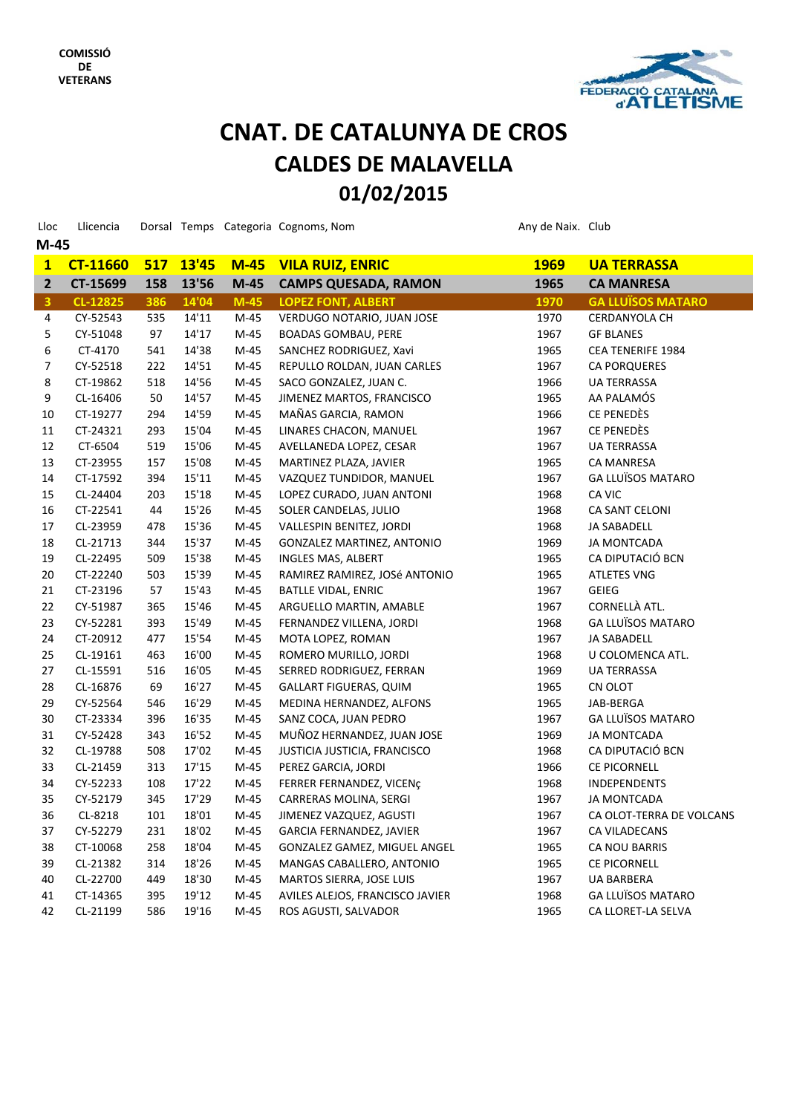

# **CNAT DE CATALUNYA DE CROS CNAT. 01/02/2015 CALDES DE MALAVELLA**

| Lloc                    | Llicencia       |     |       |        | Dorsal Temps Categoria Cognoms, Nom | Any de Naix. Club |                          |
|-------------------------|-----------------|-----|-------|--------|-------------------------------------|-------------------|--------------------------|
| $M-45$                  |                 |     |       |        |                                     |                   |                          |
| $\mathbf{1}$            | <b>CT-11660</b> | 517 | 13'45 | $M-45$ | <b>VILA RUIZ, ENRIC</b>             | <b>1969</b>       | <b>UA TERRASSA</b>       |
| $\overline{2}$          | CT-15699        | 158 | 13'56 | $M-45$ | <b>CAMPS QUESADA, RAMON</b>         | 1965              | <b>CA MANRESA</b>        |
| $\overline{\mathbf{3}}$ | CL-12825        | 386 | 14'04 | $M-45$ | <b>LOPEZ FONT, ALBERT</b>           | 1970              | <b>GA LLUÏSOS MATARO</b> |
| 4                       | CY-52543        | 535 | 14'11 | $M-45$ | VERDUGO NOTARIO, JUAN JOSE          | 1970              | CERDANYOLA CH            |
| 5                       | CY-51048        | 97  | 14'17 | $M-45$ | <b>BOADAS GOMBAU, PERE</b>          | 1967              | <b>GF BLANES</b>         |
| 6                       | CT-4170         | 541 | 14'38 | $M-45$ | SANCHEZ RODRIGUEZ, Xavi             | 1965              | <b>CEA TENERIFE 1984</b> |
| 7                       | CY-52518        | 222 | 14'51 | $M-45$ | REPULLO ROLDAN, JUAN CARLES         | 1967              | <b>CA PORQUERES</b>      |
| 8                       | CT-19862        | 518 | 14'56 | $M-45$ | SACO GONZALEZ, JUAN C.              | 1966              | <b>UA TERRASSA</b>       |
| 9                       | CL-16406        | 50  | 14'57 | $M-45$ | JIMENEZ MARTOS, FRANCISCO           | 1965              | AA PALAMÓS               |
| 10                      | CT-19277        | 294 | 14'59 | $M-45$ | MAÑAS GARCIA, RAMON                 | 1966              | CE PENEDÈS               |
| 11                      | CT-24321        | 293 | 15'04 | $M-45$ | LINARES CHACON, MANUEL              | 1967              | CE PENEDÈS               |
| 12                      | CT-6504         | 519 | 15'06 | $M-45$ | AVELLANEDA LOPEZ, CESAR             | 1967              | <b>UA TERRASSA</b>       |
| 13                      | CT-23955        | 157 | 15'08 | $M-45$ | MARTINEZ PLAZA, JAVIER              | 1965              | <b>CA MANRESA</b>        |
| 14                      | CT-17592        | 394 | 15'11 | $M-45$ | VAZQUEZ TUNDIDOR, MANUEL            | 1967              | <b>GA LLUÏSOS MATARO</b> |
| 15                      | CL-24404        | 203 | 15'18 | $M-45$ | LOPEZ CURADO, JUAN ANTONI           | 1968              | CA VIC                   |
| 16                      | CT-22541        | 44  | 15'26 | $M-45$ | SOLER CANDELAS, JULIO               | 1968              | CA SANT CELONI           |
| 17                      | CL-23959        | 478 | 15'36 | $M-45$ | VALLESPIN BENITEZ, JORDI            | 1968              | <b>JA SABADELL</b>       |
| 18                      | CL-21713        | 344 | 15'37 | $M-45$ | GONZALEZ MARTINEZ, ANTONIO          | 1969              | <b>JA MONTCADA</b>       |
| 19                      | CL-22495        | 509 | 15'38 | $M-45$ | INGLES MAS, ALBERT                  | 1965              | CA DIPUTACIÓ BCN         |
| 20                      | CT-22240        | 503 | 15'39 | $M-45$ | RAMIREZ RAMIREZ, JOSé ANTONIO       | 1965              | <b>ATLETES VNG</b>       |
| 21                      | CT-23196        | 57  | 15'43 | $M-45$ | <b>BATLLE VIDAL, ENRIC</b>          | 1967              | <b>GEIEG</b>             |
| 22                      | CY-51987        | 365 | 15'46 | $M-45$ | ARGUELLO MARTIN, AMABLE             | 1967              | CORNELLÀ ATL.            |
| 23                      | CY-52281        | 393 | 15'49 | $M-45$ | FERNANDEZ VILLENA, JORDI            | 1968              | <b>GA LLUÏSOS MATARO</b> |
| 24                      | CT-20912        | 477 | 15'54 | $M-45$ | MOTA LOPEZ, ROMAN                   | 1967              | JA SABADELL              |
| 25                      | CL-19161        | 463 | 16'00 | $M-45$ | ROMERO MURILLO, JORDI               | 1968              | U COLOMENCA ATL.         |
| 27                      | CL-15591        | 516 | 16'05 | $M-45$ | SERRED RODRIGUEZ, FERRAN            | 1969              | <b>UA TERRASSA</b>       |
| 28                      | CL-16876        | 69  | 16'27 | $M-45$ | GALLART FIGUERAS, QUIM              | 1965              | CN OLOT                  |
| 29                      | CY-52564        | 546 | 16'29 | $M-45$ | MEDINA HERNANDEZ, ALFONS            | 1965              | JAB-BERGA                |
| 30                      | CT-23334        | 396 | 16'35 | $M-45$ | SANZ COCA, JUAN PEDRO               | 1967              | <b>GA LLUÏSOS MATARO</b> |
| 31                      | CY-52428        | 343 | 16'52 | $M-45$ | MUÑOZ HERNANDEZ, JUAN JOSE          | 1969              | <b>JA MONTCADA</b>       |
| 32                      | CL-19788        | 508 | 17'02 | $M-45$ | JUSTICIA JUSTICIA, FRANCISCO        | 1968              | CA DIPUTACIÓ BCN         |
| 33                      | CL-21459        | 313 | 17'15 | $M-45$ | PEREZ GARCIA, JORDI                 | 1966              | CE PICORNELL             |
| 34                      | CY-52233        | 108 | 17'22 | M-45   | FERRER FERNANDEZ, VICENÇ            | 1968              | <b>INDEPENDENTS</b>      |
| 35                      | CY-52179        | 345 | 17'29 | $M-45$ | CARRERAS MOLINA, SERGI              | 1967              | <b>JA MONTCADA</b>       |
| 36                      | CL-8218         | 101 | 18'01 | M-45   | JIMENEZ VAZQUEZ, AGUSTI             | 1967              | CA OLOT-TERRA DE VOLCANS |
| 37                      | CY-52279        | 231 | 18'02 | M-45   | <b>GARCIA FERNANDEZ, JAVIER</b>     | 1967              | CA VILADECANS            |
| 38                      | CT-10068        | 258 | 18'04 | $M-45$ | GONZALEZ GAMEZ, MIGUEL ANGEL        | 1965              | CA NOU BARRIS            |
| 39                      | CL-21382        | 314 | 18'26 | $M-45$ | MANGAS CABALLERO, ANTONIO           | 1965              | CE PICORNELL             |
| 40                      | CL-22700        | 449 | 18'30 | $M-45$ | MARTOS SIERRA, JOSE LUIS            | 1967              | UA BARBERA               |
| 41                      | CT-14365        | 395 | 19'12 | $M-45$ | AVILES ALEJOS, FRANCISCO JAVIER     | 1968              | <b>GA LLUÏSOS MATARO</b> |
| 42                      | CL-21199        | 586 | 19'16 | M-45   | ROS AGUSTI, SALVADOR                | 1965              | CA LLORET-LA SELVA       |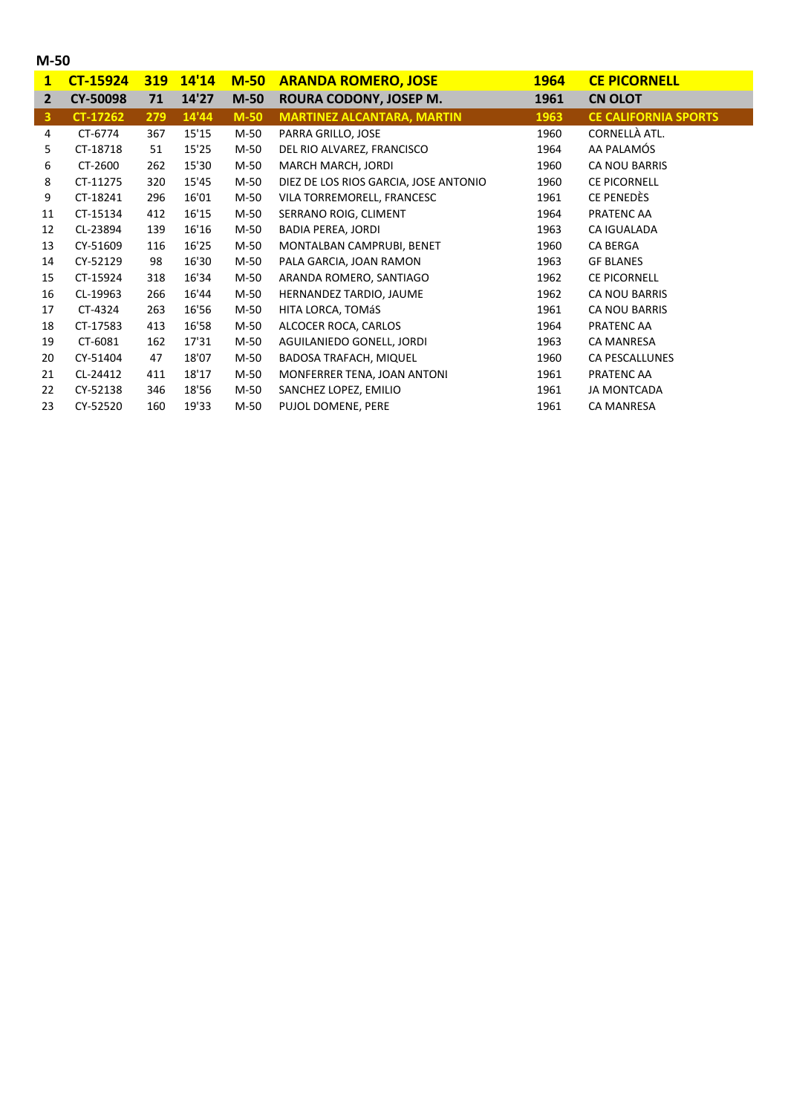|  | ۰.<br>۰. |
|--|----------|
|--|----------|

| $\mathbf{1}$            | <b>CT-15924</b> | <b>319</b> | 14'14 | $M-50$ | <b>ARANDA ROMERO, JOSE</b>            | <b>1964</b> | <b>CE PICORNELL</b>         |
|-------------------------|-----------------|------------|-------|--------|---------------------------------------|-------------|-----------------------------|
| $\overline{2}$          | <b>CY-50098</b> | 71         | 14'27 | $M-50$ | ROURA CODONY, JOSEP M.                | 1961        | <b>CN OLOT</b>              |
| $\overline{\mathbf{3}}$ | CT-17262        | 279        | 14'44 | $M-50$ | <b>MARTINEZ ALCANTARA, MARTIN</b>     | 1963        | <b>CE CALIFORNIA SPORTS</b> |
| 4                       | CT-6774         | 367        | 15'15 | M-50   | PARRA GRILLO, JOSE                    | 1960        | CORNELLÀ ATL.               |
| 5                       | CT-18718        | 51         | 15'25 | M-50   | DEL RIO ALVAREZ, FRANCISCO            | 1964        | AA PALAMÓS                  |
| 6                       | CT-2600         | 262        | 15'30 | M-50   | MARCH MARCH, JORDI                    | 1960        | <b>CA NOU BARRIS</b>        |
| 8                       | CT-11275        | 320        | 15'45 | M-50   | DIEZ DE LOS RIOS GARCIA, JOSE ANTONIO | 1960        | <b>CE PICORNELL</b>         |
| 9                       | CT-18241        | 296        | 16'01 | M-50   | VILA TORREMORELL, FRANCESC            | 1961        | CE PENEDÈS                  |
| 11                      | CT-15134        | 412        | 16'15 | M-50   | SERRANO ROIG, CLIMENT                 | 1964        | PRATENC AA                  |
| 12                      | CL-23894        | 139        | 16'16 | M-50   | BADIA PEREA, JORDI                    | 1963        | CA IGUALADA                 |
| 13                      | CY-51609        | 116        | 16'25 | M-50   | MONTALBAN CAMPRUBI, BENET             | 1960        | <b>CA BERGA</b>             |
| 14                      | CY-52129        | 98         | 16'30 | M-50   | PALA GARCIA, JOAN RAMON               | 1963        | <b>GF BLANES</b>            |
| 15                      | CT-15924        | 318        | 16'34 | M-50   | ARANDA ROMERO, SANTIAGO               | 1962        | <b>CE PICORNELL</b>         |
| 16                      | CL-19963        | 266        | 16'44 | M-50   | HERNANDEZ TARDIO, JAUME               | 1962        | CA NOU BARRIS               |
| 17                      | CT-4324         | 263        | 16'56 | M-50   | HITA LORCA, TOMÁS                     | 1961        | CA NOU BARRIS               |
| 18                      | CT-17583        | 413        | 16'58 | M-50   | ALCOCER ROCA, CARLOS                  | 1964        | PRATENC AA                  |
| 19                      | CT-6081         | 162        | 17'31 | M-50   | AGUILANIEDO GONELL, JORDI             | 1963        | <b>CA MANRESA</b>           |
| 20                      | CY-51404        | 47         | 18'07 | M-50   | <b>BADOSA TRAFACH, MIQUEL</b>         | 1960        | CA PESCALLUNES              |
| 21                      | CL-24412        | 411        | 18'17 | M-50   | MONFERRER TENA, JOAN ANTONI           | 1961        | PRATENC AA                  |
| 22                      | CY-52138        | 346        | 18'56 | M-50   | SANCHEZ LOPEZ, EMILIO                 | 1961        | <b>JA MONTCADA</b>          |
| 23                      | CY-52520        | 160        | 19'33 | M-50   | PUJOL DOMENE, PERE                    | 1961        | <b>CA MANRESA</b>           |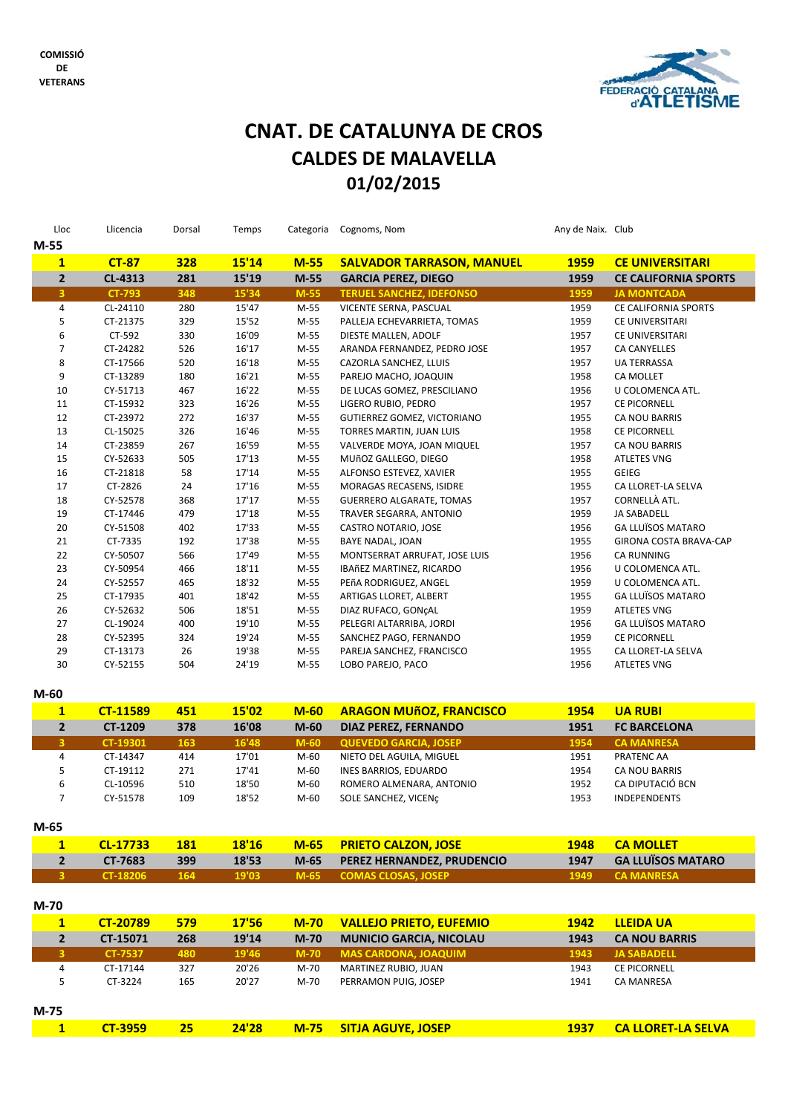

## **CNAT DE CATALUNYA DE CROS CNAT. 01/02/2015 CALDES DE MALAVELLA**

| Lloc<br>$M-55$          | Llicencia           | Dorsal     | Temps          |                | Categoria Cognoms, Nom                               | Any de Naix. Club |                                            |
|-------------------------|---------------------|------------|----------------|----------------|------------------------------------------------------|-------------------|--------------------------------------------|
| $\mathbf{1}$            | <b>CT-87</b>        | <b>328</b> | 15'14          | $M-55$         | <b>SALVADOR TARRASON, MANUEL</b>                     | <b>1959</b>       | <b>CE UNIVERSITARI</b>                     |
| $\overline{\mathbf{2}}$ | CL-4313             | 281        | 15'19          | $M-55$         | <b>GARCIA PEREZ, DIEGO</b>                           | 1959              | <b>CE CALIFORNIA SPORTS</b>                |
| $\overline{\mathbf{3}}$ | <b>CT-793</b>       | 348        | 15'34          | $M-55$         | <b>TERUEL SANCHEZ, IDEFONSO</b>                      | 1959              | <b>JA MONTCADA</b>                         |
| 4                       | CL-24110            | 280        | 15'47          | M-55           | VICENTE SERNA, PASCUAL                               | 1959              | CE CALIFORNIA SPORTS                       |
| 5                       | CT-21375            | 329        | 15'52          | M-55           | PALLEJA ECHEVARRIETA, TOMAS                          | 1959              | CE UNIVERSITARI                            |
| 6                       | CT-592              | 330        | 16'09          | $M-55$         | DIESTE MALLEN, ADOLF                                 | 1957              | CE UNIVERSITARI                            |
| $\overline{7}$          | CT-24282            | 526        | 16'17          | $M-55$         | ARANDA FERNANDEZ, PEDRO JOSE                         | 1957              | CA CANYELLES                               |
| 8                       | CT-17566            | 520        | 16'18          | M-55           | CAZORLA SANCHEZ, LLUIS                               | 1957              | UA TERRASSA                                |
| 9                       | CT-13289            | 180        | 16'21          | M-55           | PAREJO MACHO, JOAQUIN                                | 1958              | CA MOLLET                                  |
| 10                      | CY-51713            | 467        | 16'22          | M-55           | DE LUCAS GOMEZ, PRESCILIANO                          | 1956              | U COLOMENCA ATL.                           |
| 11                      | CT-15932            | 323        | 16'26          | $M-55$         | LIGERO RUBIO, PEDRO                                  | 1957              | <b>CE PICORNELL</b>                        |
| 12                      | CT-23972            | 272        | 16'37          | M-55           | GUTIERREZ GOMEZ, VICTORIANO                          | 1955              | CA NOU BARRIS                              |
| 13                      | CL-15025            | 326        | 16'46          | M-55           | TORRES MARTIN, JUAN LUIS                             | 1958              | CE PICORNELL                               |
| 14                      | CT-23859            | 267        | 16'59          | M-55           | VALVERDE MOYA, JOAN MIQUEL                           | 1957              | CA NOU BARRIS                              |
| 15                      | CY-52633            | 505        | 17'13          | M-55           | MUñOZ GALLEGO, DIEGO                                 | 1958              | <b>ATLETES VNG</b>                         |
| 16<br>17                | CT-21818            | 58         | 17'14<br>17'16 | M-55<br>$M-55$ | ALFONSO ESTEVEZ, XAVIER                              | 1955              | <b>GEIEG</b>                               |
| 18                      | CT-2826<br>CY-52578 | 24<br>368  | 17'17          | M-55           | MORAGAS RECASENS, ISIDRE<br>GUERRERO ALGARATE, TOMAS | 1955<br>1957      | CA LLORET-LA SELVA<br>CORNELLÀ ATL.        |
| 19                      | CT-17446            | 479        | 17'18          | M-55           | TRAVER SEGARRA, ANTONIO                              | 1959              | <b>JA SABADELL</b>                         |
| 20                      | CY-51508            | 402        | 17'33          | $M-55$         | CASTRO NOTARIO, JOSE                                 | 1956              | <b>GA LLUÏSOS MATARO</b>                   |
| 21                      | CT-7335             | 192        | 17'38          | M-55           | BAYE NADAL, JOAN                                     | 1955              | GIRONA COSTA BRAVA-CAP                     |
| 22                      | CY-50507            | 566        | 17'49          | M-55           | MONTSERRAT ARRUFAT, JOSE LUIS                        | 1956              | <b>CA RUNNING</b>                          |
| 23                      | CY-50954            | 466        | 18'11          | M-55           | IBAñEZ MARTINEZ, RICARDO                             | 1956              | U COLOMENCA ATL.                           |
| 24                      | CY-52557            | 465        | 18'32          | M-55           | PEñA RODRIGUEZ, ANGEL                                | 1959              | U COLOMENCA ATL.                           |
| 25                      | CT-17935            | 401        | 18'42          | M-55           | ARTIGAS LLORET, ALBERT                               | 1955              | <b>GA LLUÏSOS MATARO</b>                   |
| 26                      | CY-52632            | 506        | 18'51          | M-55           | DIAZ RUFACO, GONÇAL                                  | 1959              | <b>ATLETES VNG</b>                         |
| 27                      | CL-19024            | 400        | 19'10          | M-55           | PELEGRI ALTARRIBA, JORDI                             | 1956              | <b>GA LLUÏSOS MATARO</b>                   |
| 28                      | CY-52395            | 324        | 19'24          | M-55           | SANCHEZ PAGO, FERNANDO                               | 1959              | CE PICORNELL                               |
| 29                      | CT-13173            | 26         | 19'38          | M-55           | PAREJA SANCHEZ, FRANCISCO                            | 1955              | CA LLORET-LA SELVA                         |
| 30                      | CY-52155            | 504        | 24'19          | $M-55$         | LOBO PAREJO, PACO                                    | 1956              | <b>ATLETES VNG</b>                         |
| $M-60$                  |                     |            |                |                |                                                      |                   |                                            |
| $\mathbf{1}$            | <b>CT-11589</b>     | 451        | 15'02          | $M-60$         | <b>ARAGON MUñOZ, FRANCISCO</b>                       | 1954              | <b>UA RUBI</b>                             |
| $\overline{\mathbf{2}}$ | CT-1209             | 378        | 16'08          | $M-60$         | <b>DIAZ PEREZ, FERNANDO</b>                          | 1951              | <b>FC BARCELONA</b>                        |
| 3                       | CT-19301            | 163        | 16'48          | $M-60$         | <b>QUEVEDO GARCIA, JOSEP</b>                         | 1954              | <b>CA MANRESA</b>                          |
| $\pmb{4}$               | CT-14347            | 414        | 17'01          | $M-60$         | NIETO DEL AGUILA, MIGUEL                             | 1951              | PRATENC AA                                 |
| 5                       | CT-19112            | 271        | 17'41          | M-60           | INES BARRIOS, EDUARDO                                | 1954              | CA NOU BARRIS                              |
| 6                       | CL-10596            | 510        | 18'50          | M-60           | ROMERO ALMENARA, ANTONIO                             | 1952              | CA DIPUTACIÓ BCN                           |
| 7                       | CY-51578            | 109        | 18'52          | M-60           | SOLE SANCHEZ, VICENÇ                                 | 1953              | <b>INDEPENDENTS</b>                        |
| $M-65$                  |                     |            |                |                |                                                      |                   |                                            |
| $\mathbf{1}$            | CL-17733            | <b>181</b> | <b>18'16</b>   | $M-65$         | <b>PRIETO CALZON, JOSE</b>                           | 1948              | <b>CA MOLLET</b>                           |
| $\mathbf 2$             | CT-7683             | 399        | 18'53          | $M-65$         | PEREZ HERNANDEZ, PRUDENCIO                           | 1947              | <b>GA LLUÏSOS MATARO</b>                   |
| 3                       | CT-18206            | 164        | 19'03          | $M-65$         | <b>COMAS CLOSAS, JOSEP</b>                           | 1949              | <b>CA MANRESA</b>                          |
|                         |                     |            |                |                |                                                      |                   |                                            |
| $M-70$                  |                     |            |                |                |                                                      |                   |                                            |
| $\mathbf{1}$            | <b>CT-20789</b>     | 579        | 17'56          | $M-70$         | <b>VALLEJO PRIETO, EUFEMIO</b>                       | 1942              | <b>LLEIDA UA</b>                           |
| $\overline{\mathbf{2}}$ | CT-15071            | 268        | 19'14          | $M-70$         | <b>MUNICIO GARCIA, NICOLAU</b>                       | 1943              | <b>CA NOU BARRIS</b><br><b>JA SABADELL</b> |
| $\overline{\mathbf{3}}$ | <b>CT-7537</b>      | 480        | 19'46          | $M-70$         | <b>MAS CARDONA, JOAQUIM</b>                          | 1943              |                                            |
| 4<br>5                  | CT-17144            | 327        | 20'26          | M-70           | MARTINEZ RUBIO, JUAN                                 | 1943              | CE PICORNELL                               |
|                         | CT-3224             | 165        | 20'27          | M-70           | PERRAMON PUIG, JOSEP                                 | 1941              | <b>CA MANRESA</b>                          |
| M-75                    |                     |            |                |                |                                                      |                   |                                            |

**1 CT‐3959 25 24'28 M‐75 SITJA AGUYE, JOSEP 1937 CA LLORET‐LA SELVA**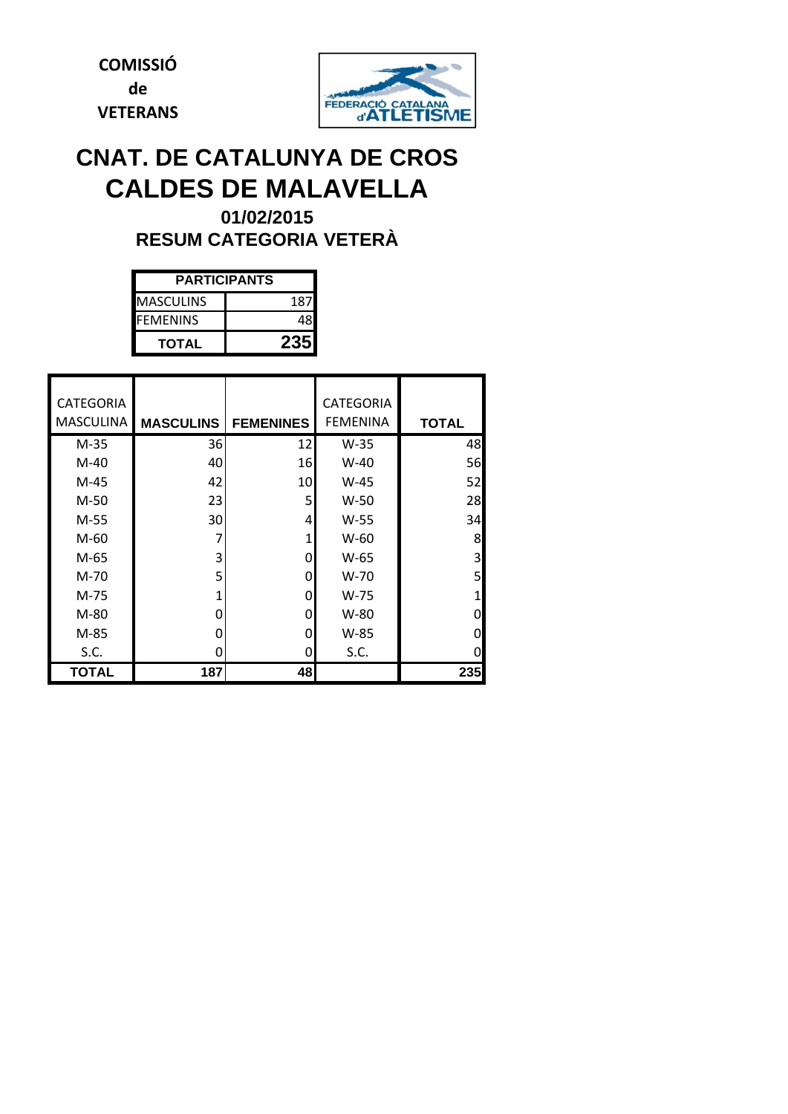**COMISSIÓ de VETERANS**



# **CNAT. DE CATALUNYA DE CROS CALDES DE MALAVELLA**

**RESUM CATEGORIA VETERÀ 01/02/2015**

| <b>PARTICIPANTS</b> |     |  |  |  |  |  |
|---------------------|-----|--|--|--|--|--|
| <b>MASCULINS</b>    | 187 |  |  |  |  |  |
| <b>FFMFNINS</b>     |     |  |  |  |  |  |
| <b>TOTAL</b>        |     |  |  |  |  |  |

| <b>CATEGORIA</b> |                  |                  | <b>CATEGORIA</b> |              |
|------------------|------------------|------------------|------------------|--------------|
|                  |                  |                  |                  |              |
| <b>MASCULINA</b> | <b>MASCULINS</b> | <b>FEMENINES</b> | <b>FEMENINA</b>  | <b>TOTAL</b> |
| $M-35$           | 36               | 12               | $W-35$           | 48           |
| $M-40$           | 40               | 16               | $W-40$           | 56           |
| $M-45$           | 42               | 10               | $W-45$           | 52           |
| M-50             | 23               | 5                | $W-50$           | 28           |
| M-55             | 30               | 4                | W-55             | 34           |
| M-60             | 7                | 1                | $W-60$           | 8            |
| M-65             | 3                | 0                | W-65             | 3            |
| M-70             | 5                | 0                | $W-70$           | 5            |
| M-75             | 1                | 0                | $W-75$           | 1            |
| M-80             | ŋ                | 0                | W-80             | 0            |
| M-85             | ŋ                | 0                | W-85             | 0            |
| S.C.             | O                | 0                | S.C.             | O            |
| TOTAL            | 187              | 48               |                  | 235          |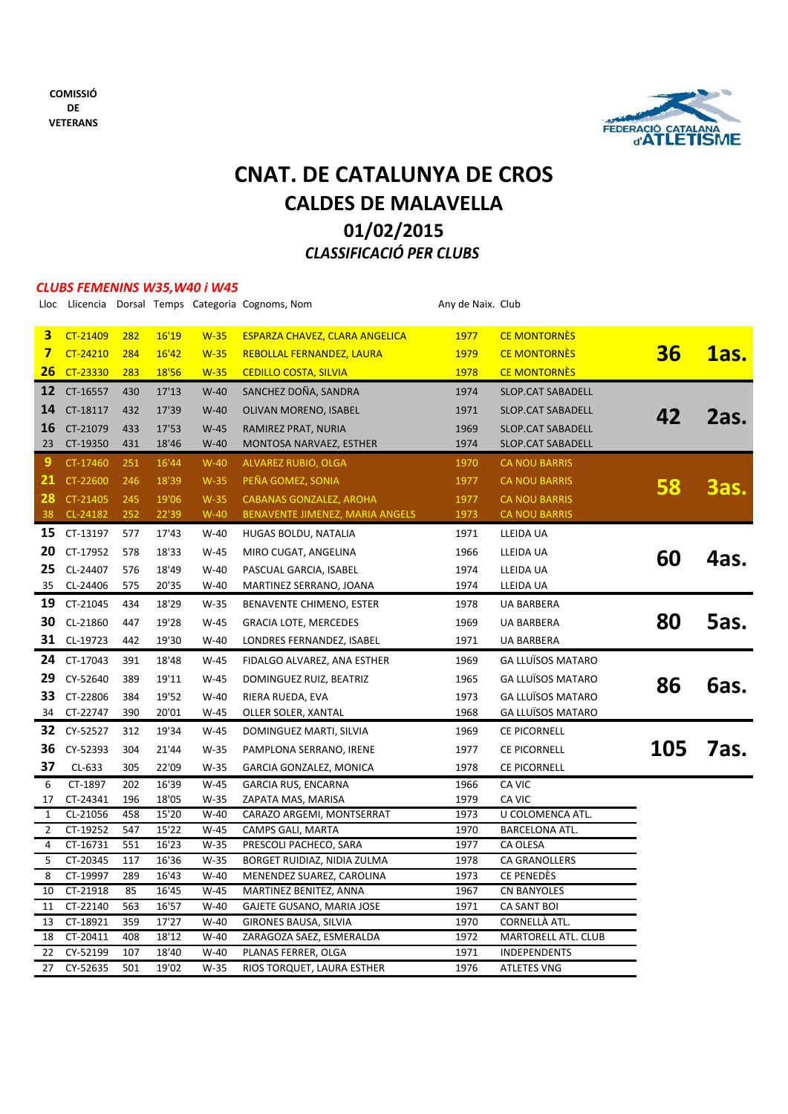



## *CLASSIFICACIÓ PER CLUBS* **CNAT. DE CATALUNYA DE CROS CALDES DE MALAVELLA 01/02/2015**

#### *CLUBS FEMENINS W35,W40 i W45*

|                     |                      |            |                |                | Lloc Llicencia Dorsal Temps Categoria Cognoms, Nom    | Any de Naix. Club |                            |     |             |
|---------------------|----------------------|------------|----------------|----------------|-------------------------------------------------------|-------------------|----------------------------|-----|-------------|
| 3                   | CT-21409             | 282        | 16'19          | $W-35$         | <b>ESPARZA CHAVEZ, CLARA ANGELICA</b>                 | 1977              | <b>CE MONTORNÈS</b>        |     |             |
| 7                   | CT-24210             | 284        | 16'42          | $W-35$         | REBOLLAL FERNANDEZ, LAURA                             | 1979              | <b>CE MONTORNÈS</b>        | 36  | 1as.        |
| 26                  | CT-23330             | 283        | 18'56          | $W-35$         | <b>CEDILLO COSTA, SILVIA</b>                          | 1978              | <b>CE MONTORNÉS</b>        |     |             |
|                     | 12 CT-16557          | 430        | 17'13          | $W-40$         | SANCHEZ DOÑA, SANDRA                                  | 1974              | SLOP.CAT SABADELL          |     |             |
| 14                  | CT-18117             | 432        | 17'39          | $W-40$         | OLIVAN MORENO, ISABEL                                 | 1971              | <b>SLOP.CAT SABADELL</b>   |     |             |
| 16                  | CT-21079             | 433        | 17'53          | $W-45$         | RAMIREZ PRAT, NURIA                                   | 1969              | SLOP.CAT SABADELL          | 42  | 2as.        |
| 23                  | CT-19350             | 431        | 18'46          | $W-40$         | MONTOSA NARVAEZ, ESTHER                               | 1974              | SLOP.CAT SABADELL          |     |             |
| 9.                  | CT-17460             | 251        | 16'44          | $W-40$         | ALVAREZ RUBIO, OLGA                                   | 1970              | <b>CA NOU BARRIS</b>       |     |             |
| 21                  | CT-22600             | 246        | 18'39          | $W-35$         | PEÑA GOMEZ, SONIA                                     | 1977              | <b>CA NOU BARRIS</b>       |     |             |
| 28.                 | CT-21405             | 245        | 19'06          | $W-35$         | CABANAS GONZALEZ, AROHA                               | 1977              | <b>CA NOU BARRIS</b>       | 58  | <b>3as.</b> |
| 38                  | CL-24182             | 252        | 22'39          | $W-40$         | BENAVENTE JIMENEZ, MARIA ANGELS                       | 1973              | <b>CA NOU BARRIS</b>       |     |             |
| 15                  | CT-13197             | 577        | 17'43          | W-40           | HUGAS BOLDU, NATALIA                                  | 1971              | LLEIDA UA                  |     |             |
| 20                  | CT-17952             | 578        | 18'33          | W-45           | MIRO CUGAT, ANGELINA                                  | 1966              | LLEIDA UA                  |     |             |
| 25                  | CL-24407             | 576        | 18'49          | W-40           | PASCUAL GARCIA, ISABEL                                | 1974              | LLEIDA UA                  | 60  | 4as.        |
| 35                  | CL-24406             | 575        | 20'35          | W-40           | MARTINEZ SERRANO, JOANA                               | 1974              | LLEIDA UA                  |     |             |
|                     | 19 CT-21045          | 434        | 18'29          | W-35           | BENAVENTE CHIMENO, ESTER                              | 1978              | UA BARBERA                 |     |             |
| 30                  | CL-21860             | 447        | 19'28          | W-45           | <b>GRACIA LOTE, MERCEDES</b>                          | 1969              | <b>UA BARBERA</b>          | 80  | Sas.        |
|                     | 31 CL-19723          | 442        |                | W-40           |                                                       |                   |                            |     |             |
|                     |                      |            | 19'30          |                | LONDRES FERNANDEZ, ISABEL                             | 1971              | UA BARBERA                 |     |             |
| 24                  | CT-17043             | 391        | 18'48          | W-45           | FIDALGO ALVAREZ, ANA ESTHER                           | 1969              | <b>GA LLUÏSOS MATARO</b>   |     |             |
| 29                  | CY-52640             | 389        | 19'11          | W-45           | DOMINGUEZ RUIZ, BEATRIZ                               | 1965              | <b>GA LLUÏSOS MATARO</b>   | 86  | Gas.        |
| 33                  | CT-22806             | 384        | 19'52          | W-40           | RIERA RUEDA, EVA                                      | 1973              | <b>GA LLUÏSOS MATARO</b>   |     |             |
| 34                  | CT-22747             | 390        | 20'01          | W-45           | OLLER SOLER, XANTAL                                   | 1968              | <b>GA LLUÏSOS MATARO</b>   |     |             |
|                     | <b>32</b> CY-52527   | 312        | 19'34          | W-45           | DOMINGUEZ MARTI, SILVIA                               | 1969              | CE PICORNELL               |     |             |
|                     | 36 CY-52393          | 304        | 21'44          | W-35           | PAMPLONA SERRANO, IRENE                               | 1977              | CE PICORNELL               | 105 | 7as.        |
| 37                  | CL-633               | 305        | 22'09          | $W-35$         | GARCIA GONZALEZ, MONICA                               | 1978              | CE PICORNELL               |     |             |
| 6                   | CT-1897              | 202        | 16'39          | W-45           | <b>GARCIA RUS, ENCARNA</b>                            | 1966              | CA VIC                     |     |             |
| 17                  | CT-24341             | 196        | 18'05          | W-35           | ZAPATA MAS, MARISA                                    | 1979              | CA VIC                     |     |             |
| 1                   | CL-21056             | 458        | 15'20          | W-40           | CARAZO ARGEMI, MONTSERRAT                             | 1973              | U COLOMENCA ATL.           |     |             |
| $\overline{2}$<br>4 | CT-19252             | 547<br>551 | 15'22<br>16'23 | W-45<br>$W-35$ | CAMPS GALI, MARTA                                     | 1970<br>1977      | BARCELONA ATL.<br>CA OLESA |     |             |
| 5                   | CT-16731<br>CT-20345 | 117        | 16'36          | $W-35$         | PRESCOLI PACHECO, SARA<br>BORGET RUIDIAZ, NIDIA ZULMA | 1978              | CA GRANOLLERS              |     |             |
| 8                   | CT-19997             | 289        | 16'43          | $W-40$         | MENENDEZ SUAREZ, CAROLINA                             | 1973              | CE PENEDÈS                 |     |             |
| 10                  | CT-21918             | 85         | 16'45          | W-45           | MARTINEZ BENITEZ, ANNA                                | 1967              | <b>CN BANYOLES</b>         |     |             |
| 11                  | CT-22140             | 563        | 16'57          | $W-40$         | GAJETE GUSANO, MARIA JOSE                             | 1971              | CA SANT BOI                |     |             |
| 13                  | CT-18921             | 359        | 17'27          | W-40           | GIRONES BAUSA, SILVIA                                 | 1970              | CORNELLÀ ATL.              |     |             |
| 18                  | CT-20411             | 408        | 18'12          | $W-40$         | ZARAGOZA SAEZ, ESMERALDA                              | 1972              | MARTORELL ATL. CLUB        |     |             |
| 22                  | CY-52199             | 107        | 18'40          | $W-40$         | PLANAS FERRER, OLGA                                   | 1971              | <b>INDEPENDENTS</b>        |     |             |
| 27                  | CY-52635             | 501        | 19'02          | $W-35$         | RIOS TORQUET, LAURA ESTHER                            | 1976              | <b>ATLETES VNG</b>         |     |             |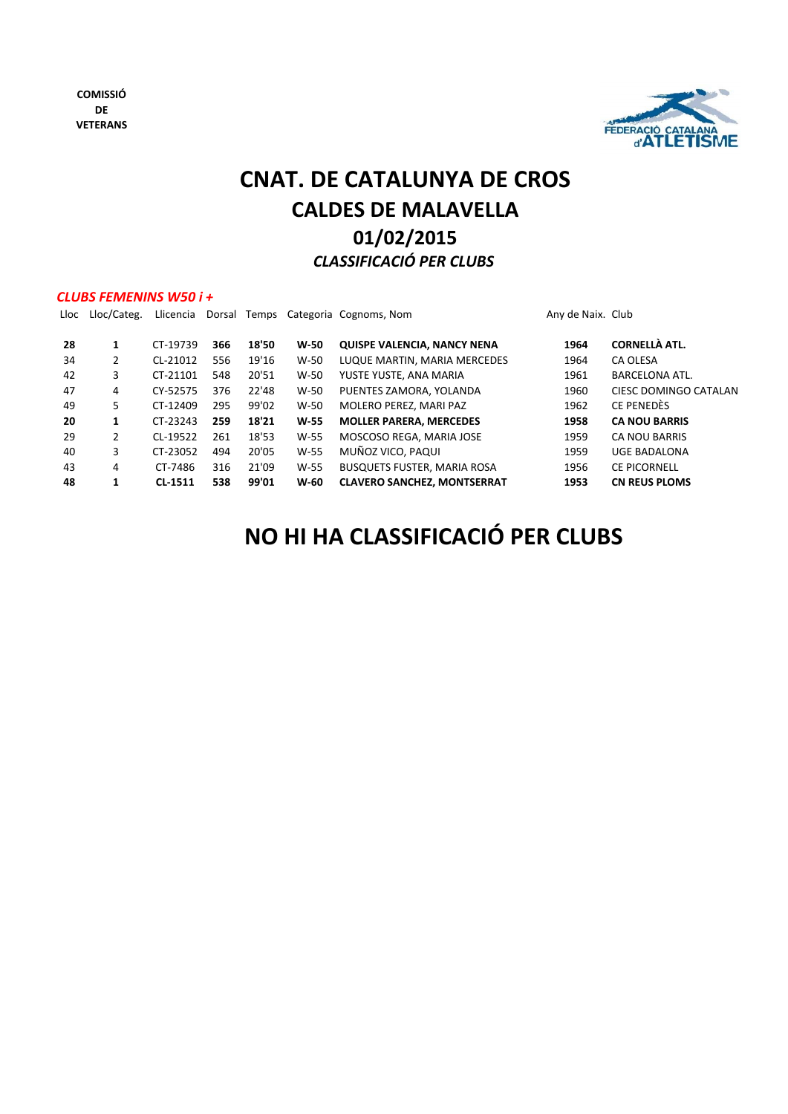

# **01/02/2015 CNAT. DE CATALUNYA DE CROS CALDES DE MALAVELLA** *CLASSIFICACIÓ PER CLUBS*

### *CLUBS FEMENINS W50 i +*

| Lloc | Lloc/Categ. | Llicencia |     |       |        | Dorsal Temps Categoria Cognoms, Nom | Any de Naix. Club |                       |
|------|-------------|-----------|-----|-------|--------|-------------------------------------|-------------------|-----------------------|
| 28   | 1           | CT-19739  | 366 | 18'50 | W-50   | <b>QUISPE VALENCIA, NANCY NENA</b>  | 1964              | <b>CORNELLÀ ATL.</b>  |
| 34   | 2           | CL-21012  | 556 | 19'16 | $W-50$ | LUQUE MARTIN, MARIA MERCEDES        | 1964              | CA OLESA              |
| 42   | 3           | CT-21101  | 548 | 20'51 | $W-50$ | YUSTE YUSTE, ANA MARIA              | 1961              | <b>BARCELONA ATL.</b> |
| 47   | 4           | CY-52575  | 376 | 22'48 | $W-50$ | PUENTES ZAMORA, YOLANDA             | 1960              | CIESC DOMINGO CATALAN |
| 49   | 5           | CT-12409  | 295 | 99'02 | $W-50$ | MOLERO PEREZ, MARI PAZ              | 1962              | CE PENEDÈS            |
| 20   | 1           | CT-23243  | 259 | 18'21 | $W-55$ | <b>MOLLER PARERA, MERCEDES</b>      | 1958              | <b>CA NOU BARRIS</b>  |
| 29   | 2           | CL-19522  | 261 | 18'53 | $W-55$ | MOSCOSO REGA, MARIA JOSE            | 1959              | <b>CA NOU BARRIS</b>  |
| 40   | 3           | CT-23052  | 494 | 20'05 | W-55   | MUÑOZ VICO, PAQUI                   | 1959              | <b>UGE BADALONA</b>   |
| 43   | 4           | CT-7486   | 316 | 21'09 | W-55   | <b>BUSQUETS FUSTER, MARIA ROSA</b>  | 1956              | <b>CE PICORNELL</b>   |
| 48   | 1           | CL-1511   | 538 | 99'01 | $W-60$ | <b>CLAVERO SANCHEZ, MONTSERRAT</b>  | 1953              | <b>CN REUS PLOMS</b>  |

# **NO HI HA CLASSIFICACIÓ PER CLUBS**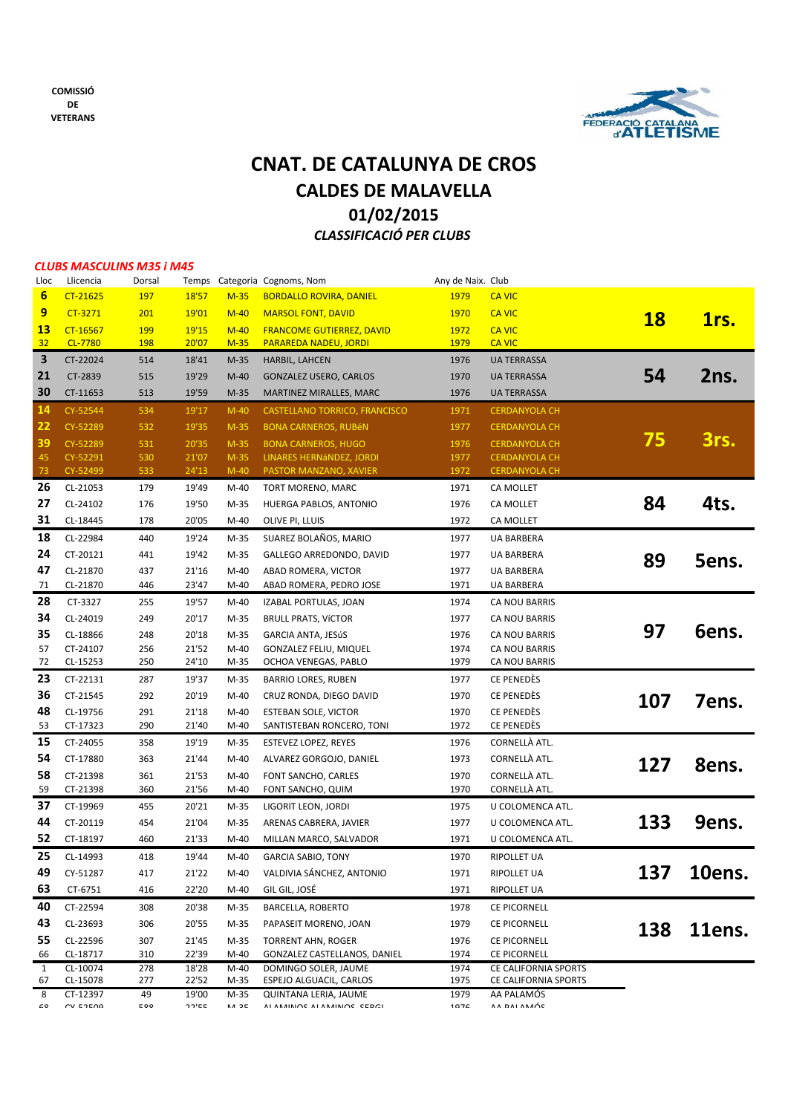

## **01/02/2015** *CLASSIFICACIÓ PER CLUBS* **CNAT. DE CATALUNYA DE CROS CALDES DE MALAVELLA**

#### *CLUBS MASCULINS M35 i M45*

| Lloc            | Llicencia            | Dorsal                            | Temps          |                     | Categoria Cognoms, Nom                               | Any de Naix. Club |                             |           |        |
|-----------------|----------------------|-----------------------------------|----------------|---------------------|------------------------------------------------------|-------------------|-----------------------------|-----------|--------|
| $6\phantom{1}6$ | CT-21625             | 197                               | 18'57          | $M-35$              | <b>BORDALLO ROVIRA, DANIEL</b>                       | 1979              | <b>CA VIC</b>               |           |        |
| 9               | CT-3271              | 201                               | 19'01          | $M-40$              | <b>MARSOL FONT, DAVID</b>                            | 1970              | <b>CA VIC</b>               | <b>18</b> | 1rs.   |
| <b>13</b>       | CT-16567             | 199                               | 19'15          | $M-40$              | <b>FRANCOME GUTIERREZ, DAVID</b>                     | 1972              | <b>CA VIC</b>               |           |        |
| 32              | CL-7780              | 198                               | 20'07          | $M-35$              | PARAREDA NADEU, JORDI                                | 1979              | <b>CA VIC</b>               |           |        |
| 3               | CT-22024             | 514                               | 18'41          | $M-35$              | HARBIL, LAHCEN                                       | 1976              | <b>UA TERRASSA</b>          |           |        |
| 21              | CT-2839              | 515                               | 19'29          | $M-40$              | <b>GONZALEZ USERO, CARLOS</b>                        | 1970              | <b>UA TERRASSA</b>          | 54        | 2ns.   |
| 30              | CT-11653             | 513                               | 19'59          | $M-35$              | MARTINEZ MIRALLES, MARC                              | 1976              | <b>UA TERRASSA</b>          |           |        |
| $\frac{14}{2}$  | CY-52544             | 534                               | 19'17          | $M-40$              | CASTELLANO TORRICO, FRANCISCO                        | 1971              | <b>CERDANYOLA CH</b>        |           |        |
| 22              | CY-52289             | 532                               | 19'35          | $M-35$              | <b>BONA CARNEROS, RUBÉN</b>                          | 1977              | <b>CERDANYOLA CH</b>        |           |        |
| 39              | CY-52289             | 531                               | 20'35          | $M-35$              | <b>BONA CARNEROS, HUGO</b>                           | 1976              | <b>CERDANYOLA CH</b>        | 75        | 3rs.   |
| 45              | CY-52291             | 530                               | 21'07          | $M-35$              | LINARES HERNÁNDEZ, JORDI                             | 1977              | <b>CERDANYOLA CH</b>        |           |        |
| 73              | CY-52499             | 533                               | 24'13          | $M-40$              | PASTOR MANZANO, XAVIER                               | 1972              | <b>CERDANYOLA CH</b>        |           |        |
| 26              | CL-21053             | 179                               | 19'49          | M-40                | TORT MORENO, MARC                                    | 1971              | CA MOLLET                   |           |        |
| 27              | CL-24102             | 176                               | 19'50          | $M-35$              | HUERGA PABLOS, ANTONIO                               | 1976              | CA MOLLET                   | 84        | 4ts.   |
| 31              | CL-18445             | 178                               | 20'05          | M-40                | OLIVE PI, LLUIS                                      | 1972              | CA MOLLET                   |           |        |
| 18              | CL-22984             | 440                               | 19'24          | M-35                | SUAREZ BOLAÑOS, MARIO                                | 1977              | <b>UA BARBERA</b>           |           |        |
| 24              | CT-20121             | 441                               | 19'42          | M-35                | GALLEGO ARREDONDO, DAVID                             | 1977              | UA BARBERA                  | 89        | 5ens.  |
| 47              | CL-21870             | 437                               | 21'16          | $M-40$              | ABAD ROMERA, VICTOR                                  | 1977              | UA BARBERA                  |           |        |
| 71              | CL-21870             | 446                               | 23'47          | M-40                | ABAD ROMERA, PEDRO JOSE                              | 1971              | UA BARBERA                  |           |        |
| 28              | CT-3327              | 255                               | 19'57          | M-40                | IZABAL PORTULAS, JOAN                                | 1974              | CA NOU BARRIS               |           |        |
| 34              | CL-24019             | 249                               | 20'17          | $M-35$              | <b>BRULL PRATS, VÍCTOR</b>                           | 1977              | CA NOU BARRIS               |           |        |
| 35              | CL-18866             | 248                               | 20'18          | $M-35$              | GARCIA ANTA, JESúS                                   | 1976              | CA NOU BARRIS               | 97        | Gens.  |
| 57              | CT-24107             | 256                               | 21'52          | $M-40$              | GONZALEZ FELIU, MIQUEL                               | 1974              | CA NOU BARRIS               |           |        |
| 72              | CL-15253             | 250                               | 24'10          | M-35                | OCHOA VENEGAS, PABLO                                 | 1979              | CA NOU BARRIS               |           |        |
| 23              | CT-22131             | 287                               | 19'37          | M-35                | <b>BARRIO LORES, RUBEN</b>                           | 1977              | CE PENEDÈS                  |           |        |
| 36              | CT-21545             | 292                               | 20'19          | M-40                | CRUZ RONDA, DIEGO DAVID                              | 1970              | CE PENEDÈS                  | 107       | 7ens.  |
| 48              | CL-19756             | 291                               | 21'18          | M-40                | ESTEBAN SOLE, VICTOR                                 | 1970              | CE PENEDÈS                  |           |        |
| 53              | CT-17323             | 290                               | 21'40          | M-40                | SANTISTEBAN RONCERO, TONI                            | 1972              | CE PENEDÈS                  |           |        |
| 15              | CT-24055             | 358                               | 19'19          | M-35                | <b>ESTEVEZ LOPEZ, REYES</b>                          | 1976              | CORNELLÀ ATL.               |           |        |
| 54              | CT-17880             | 363                               | 21'44          | M-40                | ALVAREZ GORGOJO, DANIEL                              | 1973              | CORNELLÀ ATL.               | 127       | 8ens.  |
| 58              | CT-21398             | 361                               | 21'53          | $M-40$              | FONT SANCHO, CARLES                                  | 1970              | CORNELLÀ ATL.               |           |        |
| 59              | CT-21398             | 360                               | 21'56          | M-40                | FONT SANCHO, QUIM                                    | 1970              | CORNELLÀ ATL.               |           |        |
| 37              | CT-19969             | 455                               | 20'21          | M-35                | LIGORIT LEON, JORDI                                  | 1975              | U COLOMENCA ATL.            |           |        |
| 44              | CT-20119             | 454                               | 21'04          | $M-35$              | ARENAS CABRERA, JAVIER                               | 1977              | U COLOMENCA ATL.            | 133       | 9ens.  |
| 52              | CT-18197             | 460                               | 21'33          | $M-40$              | MILLAN MARCO, SALVADOR                               | 1971              | U COLOMENCA ATL.            |           |        |
| 25              | CL-14993             | 418                               | 19'44          | $M-40$              | <b>GARCIA SABIO, TONY</b>                            | 1970              | RIPOLLET UA                 |           |        |
| 49              | CY-51287             | 417                               | 21'22          | M-40                | VALDIVIA SÁNCHEZ, ANTONIO                            | 1971              | RIPOLLET UA                 | 137       | 10ens. |
| 63              | CT-6751              | 416                               | 22'20          | M-40                | GIL GIL, JOSÉ                                        | 1971              | RIPOLLET UA                 |           |        |
| 40              | CT-22594             | 308                               | 20'38          | M-35                | <b>BARCELLA, ROBERTO</b>                             | 1978              | <b>CE PICORNELL</b>         |           |        |
| 43              | CL-23693             | 306                               | 20'55          | M-35                | PAPASEIT MORENO, JOAN                                | 1979              | <b>CE PICORNELL</b>         |           |        |
| 55              | CL-22596             | 307                               | 21'45          | M-35                | <b>TORRENT AHN, ROGER</b>                            | 1976              | <b>CE PICORNELL</b>         | 138       | 11ens. |
| 66              | CL-18717             | 310                               | 22'39          | $M-40$              | GONZALEZ CASTELLANOS, DANIEL                         | 1974              | <b>CE PICORNELL</b>         |           |        |
| 1               | CL-10074             | 278                               | 18'28          | $M-40$              | DOMINGO SOLER, JAUME                                 | 1974              | CE CALIFORNIA SPORTS        |           |        |
| 67              | CL-15078             | 277                               | 22'52          | M-35                | ESPEJO ALGUACIL, CARLOS                              | 1975              | CE CALIFORNIA SPORTS        |           |        |
| 8<br>co         | CT-12397<br>CV EDENO | 49<br>$\mathsf{c}\circ\mathsf{o}$ | 19'00<br>חחירה | M-35<br><b>A 25</b> | QUINTANA LERIA, JAUME<br>ALAMAINING ALAMAINING CEDCI | 1979<br>107C      | AA PALAMÓS<br>A A DAI ANAÓC |           |        |
|                 |                      |                                   |                |                     |                                                      |                   |                             |           |        |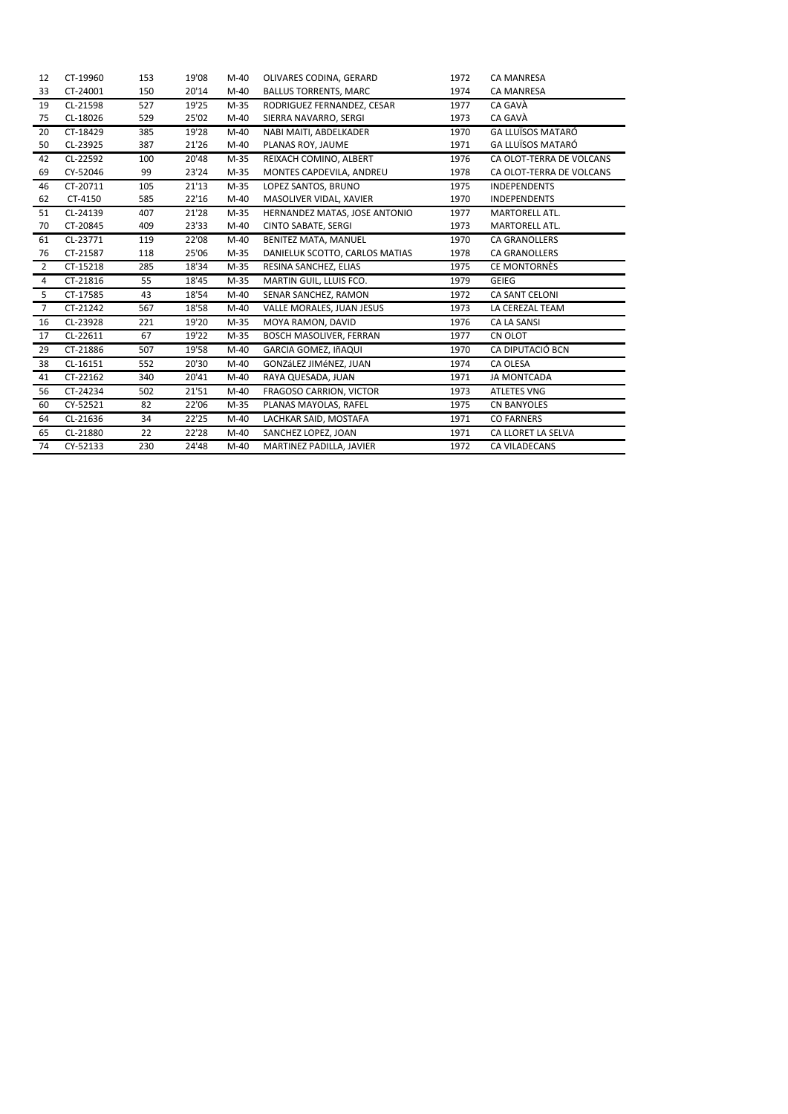| 12             | CT-19960 | 153 | 19'08 | $M-40$ | OLIVARES CODINA, GERARD        | 1972 | <b>CA MANRESA</b>        |
|----------------|----------|-----|-------|--------|--------------------------------|------|--------------------------|
| 33             | CT-24001 | 150 | 20'14 | $M-40$ | <b>BALLUS TORRENTS, MARC</b>   | 1974 | <b>CA MANRESA</b>        |
| 19             | CL-21598 | 527 | 19'25 | $M-35$ | RODRIGUEZ FERNANDEZ, CESAR     | 1977 | CA GAVÀ                  |
| 75             | CL-18026 | 529 | 25'02 | $M-40$ | SIERRA NAVARRO, SERGI          | 1973 | CA GAVÀ                  |
| 20             | CT-18429 | 385 | 19'28 | $M-40$ | NABI MAITI, ABDELKADER         | 1970 | <b>GA LLUÏSOS MATARÓ</b> |
| 50             | CL-23925 | 387 | 21'26 | $M-40$ | PLANAS ROY, JAUME              | 1971 | <b>GA LLUÏSOS MATARÓ</b> |
| 42             | CL-22592 | 100 | 20'48 | $M-35$ | REIXACH COMINO, ALBERT         | 1976 | CA OLOT-TERRA DE VOLCANS |
| 69             | CY-52046 | 99  | 23'24 | $M-35$ | MONTES CAPDEVILA, ANDREU       | 1978 | CA OLOT-TERRA DE VOLCANS |
| 46             | CT-20711 | 105 | 21'13 | $M-35$ | LOPEZ SANTOS, BRUNO            | 1975 | <b>INDEPENDENTS</b>      |
| 62             | CT-4150  | 585 | 22'16 | $M-40$ | MASOLIVER VIDAL, XAVIER        | 1970 | <b>INDEPENDENTS</b>      |
| 51             | CL-24139 | 407 | 21'28 | M-35   | HERNANDEZ MATAS, JOSE ANTONIO  | 1977 | MARTORELL ATL.           |
| 70             | CT-20845 | 409 | 23'33 | $M-40$ | <b>CINTO SABATE, SERGI</b>     | 1973 | MARTORELL ATL.           |
| 61             | CL-23771 | 119 | 22'08 | $M-40$ | BENITEZ MATA, MANUEL           | 1970 | <b>CA GRANOLLERS</b>     |
| 76             | CT-21587 | 118 | 25'06 | $M-35$ | DANIELUK SCOTTO, CARLOS MATIAS | 1978 | <b>CA GRANOLLERS</b>     |
| 2              | CT-15218 | 285 | 18'34 | $M-35$ | RESINA SANCHEZ, ELIAS          | 1975 | <b>CE MONTORNÈS</b>      |
| 4              | CT-21816 | 55  | 18'45 | $M-35$ | MARTIN GUIL, LLUIS FCO.        | 1979 | <b>GEIEG</b>             |
| 5              | CT-17585 | 43  | 18'54 | $M-40$ | SENAR SANCHEZ, RAMON           | 1972 | CA SANT CELONI           |
| $\overline{7}$ | CT-21242 | 567 | 18'58 | $M-40$ | VALLE MORALES, JUAN JESUS      | 1973 | LA CEREZAL TEAM          |
| 16             | CL-23928 | 221 | 19'20 | $M-35$ | MOYA RAMON, DAVID              | 1976 | <b>CA LA SANSI</b>       |
| 17             | CL-22611 | 67  | 19'22 | $M-35$ | BOSCH MASOLIVER, FERRAN        | 1977 | CN OLOT                  |
| 29             | CT-21886 | 507 | 19'58 | $M-40$ | GARCIA GOMEZ, IñAQUI           | 1970 | CA DIPUTACIÓ BCN         |
| 38             | CL-16151 | 552 | 20'30 | $M-40$ | GONZáLEZ JIMéNEZ, JUAN         | 1974 | CA OLESA                 |
| 41             | CT-22162 | 340 | 20'41 | $M-40$ | RAYA QUESADA, JUAN             | 1971 | <b>JA MONTCADA</b>       |
| 56             | CT-24234 | 502 | 21'51 | $M-40$ | <b>FRAGOSO CARRION, VICTOR</b> | 1973 | <b>ATLETES VNG</b>       |
| 60             | CY-52521 | 82  | 22'06 | $M-35$ | PLANAS MAYOLAS, RAFEL          | 1975 | <b>CN BANYOLES</b>       |
| 64             | CL-21636 | 34  | 22'25 | $M-40$ | LACHKAR SAID, MOSTAFA          | 1971 | <b>CO FARNERS</b>        |
| 65             | CL-21880 | 22  | 22'28 | $M-40$ | SANCHEZ LOPEZ, JOAN            | 1971 | CA LLORET LA SELVA       |
| 74             | CY-52133 | 230 | 24'48 | $M-40$ | MARTINEZ PADILLA, JAVIER       | 1972 | <b>CA VILADECANS</b>     |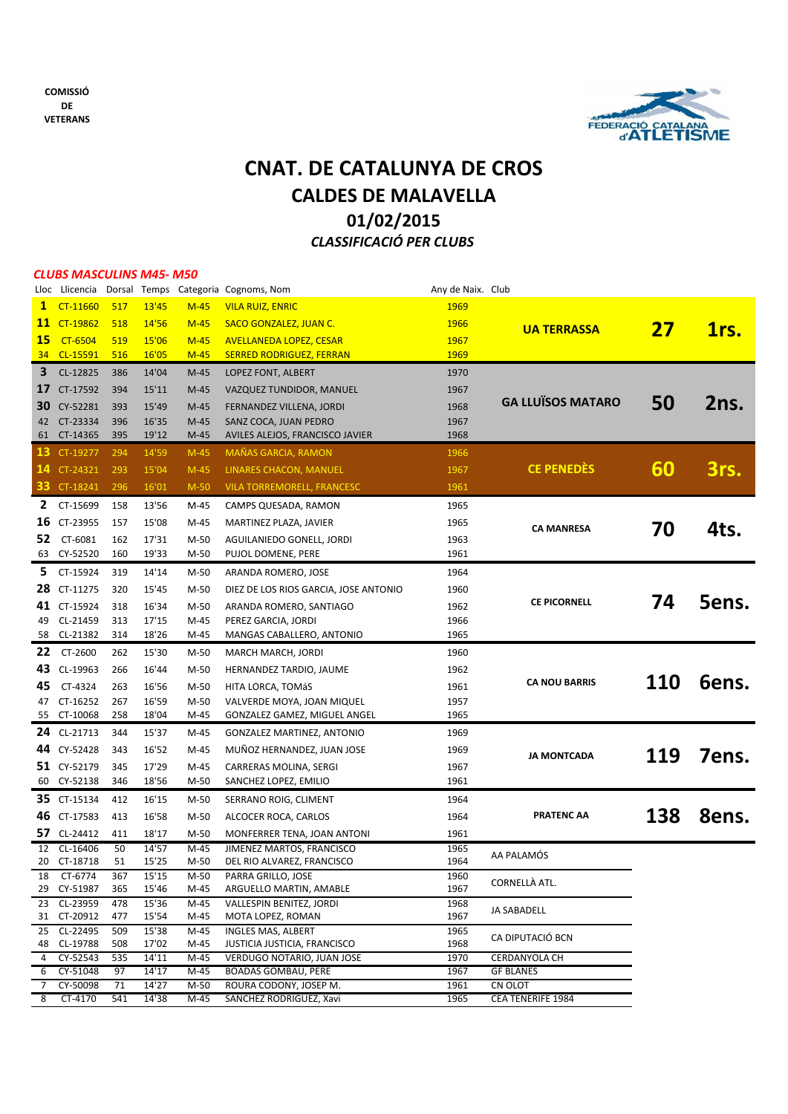

## **01/02/2015** *CLASSIFICACIÓ PER CLUBS* **CNAT. DE CATALUNYA DE CROS CALDES DE MALAVELLA**

#### *CLUBS MASCULINS M45‐ M50*

|                |                            |            |                |                | Lloc Llicencia Dorsal Temps Categoria Cognoms, Nom | Any de Naix. Club |                          |     |       |
|----------------|----------------------------|------------|----------------|----------------|----------------------------------------------------|-------------------|--------------------------|-----|-------|
| $\mathbf{1}$   | CT-11660                   | 517        | 13'45          | $M-45$         | <b>VILA RUIZ, ENRIC</b>                            | 1969              |                          |     |       |
| 11             | CT-19862                   | 518        | 14'56          | $M-45$         | <b>SACO GONZALEZ, JUAN C.</b>                      | 1966              | <b>UA TERRASSA</b>       | 27  |       |
| 15             | <b>CT-6504</b>             | 519        | 15'06          | $M-45$         | <b>AVELLANEDA LOPEZ, CESAR</b>                     | 1967              |                          |     | 1rs.  |
| 34             | CL-15591                   | 516        | 16'05          | $M-45$         | <b>SERRED RODRIGUEZ, FERRAN</b>                    | 1969              |                          |     |       |
| 3              | CL-12825                   | 386        | 14'04          | $M-45$         | LOPEZ FONT, ALBERT                                 | 1970              |                          |     |       |
| 17             | CT-17592                   | 394        | 15'11          | $M-45$         | VAZQUEZ TUNDIDOR, MANUEL                           | 1967              |                          |     |       |
| 30             | CY-52281                   | 393        | 15'49          | $M-45$         | FERNANDEZ VILLENA, JORDI                           | 1968              | <b>GA LLUÏSOS MATARO</b> | 50  | 2ns.  |
| 42             | CT-23334                   | 396        | 16'35          | $M-45$         | SANZ COCA, JUAN PEDRO                              | 1967              |                          |     |       |
| 61             | CT-14365                   | 395        | 19'12          | $M-45$         | AVILES ALEJOS, FRANCISCO JAVIER                    | 1968              |                          |     |       |
| 13.            | CT-19277                   | 294        | 14'59          | $M-45$         | <b>MAÑAS GARCIA, RAMON</b>                         | 1966              |                          |     |       |
| 14             | CT-24321                   | 293        | 15'04          | $M-45$         | LINARES CHACON, MANUEL                             | 1967              | <b>CE PENEDÉS</b>        | 60  | 3rs.  |
|                | <b>33</b> CT-18241         | 296        | 16'01          | $M-50$         | <b>VILA TORREMORELL, FRANCESC</b>                  | 1961              |                          |     |       |
|                | 2 CT-15699                 | 158        |                |                |                                                    | 1965              |                          |     |       |
|                |                            |            | 13'56          | M-45           | CAMPS QUESADA, RAMON                               |                   |                          |     |       |
| 16             | CT-23955                   | 157        | 15'08          | M-45           | MARTINEZ PLAZA, JAVIER                             | 1965              | <b>CA MANRESA</b>        | 70  | 4ts.  |
| 52.            | CT-6081                    | 162        | 17'31          | M-50           | AGUILANIEDO GONELL, JORDI                          | 1963              |                          |     |       |
| 63             | CY-52520                   | 160        | 19'33          | M-50           | PUJOL DOMENE, PERE                                 | 1961              |                          |     |       |
| 5.             | CT-15924                   | 319        | 14'14          | M-50           | ARANDA ROMERO, JOSE                                | 1964              |                          |     |       |
| 28             | CT-11275                   | 320        | 15'45          | M-50           | DIEZ DE LOS RIOS GARCIA, JOSE ANTONIO              | 1960              |                          |     |       |
| 41             | CT-15924                   | 318        | 16'34          | $M-50$         | ARANDA ROMERO, SANTIAGO                            | 1962              | <b>CE PICORNELL</b>      | 74  | Sens. |
| 49             | CL-21459                   | 313        | 17'15          | M-45           | PEREZ GARCIA, JORDI                                | 1966              |                          |     |       |
| 58             | CL-21382                   | 314        | 18'26          | M-45           | MANGAS CABALLERO, ANTONIO                          | 1965              |                          |     |       |
| 22             | CT-2600                    | 262        | 15'30          | M-50           | MARCH MARCH, JORDI                                 | 1960              |                          |     |       |
| 43             | CL-19963                   | 266        | 16'44          | $M-50$         | HERNANDEZ TARDIO, JAUME                            | 1962              |                          |     |       |
| 45             | CT-4324                    | 263        | 16'56          | $M-50$         | HITA LORCA, TOMÁS                                  | 1961              | <b>CA NOU BARRIS</b>     | 110 | Gens. |
| 47             | CT-16252                   | 267        | 16'59          | M-50           | VALVERDE MOYA, JOAN MIQUEL                         | 1957              |                          |     |       |
| 55             | CT-10068                   | 258        | 18'04          | M-45           | GONZALEZ GAMEZ, MIGUEL ANGEL                       | 1965              |                          |     |       |
| 24             | CL-21713                   | 344        | 15'37          | M-45           | GONZALEZ MARTINEZ, ANTONIO                         | 1969              |                          |     |       |
| 44             | CY-52428                   | 343        | 16'52          | M-45           | MUÑOZ HERNANDEZ, JUAN JOSE                         | 1969              | <b>JA MONTCADA</b>       | 119 | 7ens. |
|                | 51 CY-52179                | 345        | 17'29          | M-45           | CARRERAS MOLINA, SERGI                             | 1967              |                          |     |       |
| 60             | CY-52138                   | 346        | 18'56          | M-50           | SANCHEZ LOPEZ, EMILIO                              | 1961              |                          |     |       |
|                | 35 CT-15134                | 412        | 16'15          | M-50           | SERRANO ROIG, CLIMENT                              | 1964              |                          |     |       |
| 46             | CT-17583                   | 413        | 16'58          | M-50           | ALCOCER ROCA, CARLOS                               | 1964              | <b>PRATENC AA</b>        | 138 | 8ens. |
| 57             | CL-24412                   | 411        | 18'17          | $M-50$         | MONFERRER TENA, JOAN ANTONI                        | 1961              |                          |     |       |
| 12             | CL-16406                   | 50         | 14'57          | $M-45$         | JIMENEZ MARTOS, FRANCISCO                          | 1965              |                          |     |       |
| 20             | CT-18718                   | 51         | 15'25          | $M-50$         | DEL RIO ALVAREZ, FRANCISCO                         | 1964              | AA PALAMÓS               |     |       |
| 18             | CT-6774                    | 367        | 15'15          | $M-50$         | PARRA GRILLO, JOSE                                 | 1960              | CORNELLÀ ATL.            |     |       |
|                | 29 CY-51987                | 365        | 15'46          | M-45           | ARGUELLO MARTIN, AMABLE                            | 1967              |                          |     |       |
|                | 23 CL-23959<br>31 CT-20912 | 478<br>477 | 15'36<br>15'54 | $M-45$<br>M-45 | VALLESPIN BENITEZ, JORDI                           | 1968<br>1967      | JA SABADELL              |     |       |
|                | 25 CL-22495                | 509        | 15'38          | $M-45$         | MOTA LOPEZ, ROMAN<br>INGLES MAS, ALBERT            | 1965              |                          |     |       |
|                | 48 CL-19788                | 508        | 17'02          | M-45           | JUSTICIA JUSTICIA, FRANCISCO                       | 1968              | CA DIPUTACIÓ BCN         |     |       |
|                | 4 CY-52543                 | 535        | 14'11          | $M-45$         | VERDUGO NOTARIO, JUAN JOSE                         | 1970              | CERDANYOLA CH            |     |       |
| 6              | CY-51048                   | 97         | 14'17          | M-45           | <b>BOADAS GOMBAU, PERE</b>                         | 1967              | <b>GF BLANES</b>         |     |       |
| 7 <sup>7</sup> | CY-50098                   | 71         | 14'27          | M-50           | ROURA CODONY, JOSEP M.                             | 1961              | CN OLOT                  |     |       |
| 8              | CT-4170                    | 541        | 14'38          | M-45           | SANCHEZ RODRIGUEZ, Xavi                            | 1965              | <b>CEA TENERIFE 1984</b> |     |       |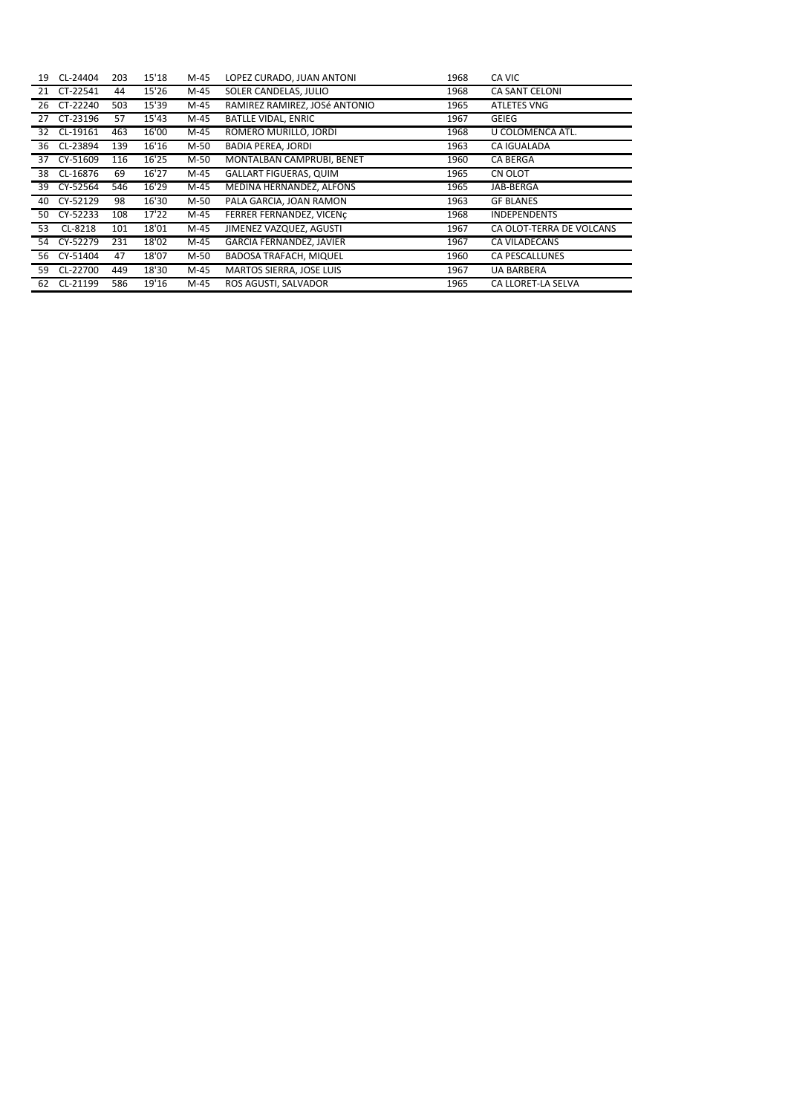| 19 | CL-24404    | 203 | 15'18 | M-45   | LOPEZ CURADO, JUAN ANTONI       | 1968 | CA VIC                   |
|----|-------------|-----|-------|--------|---------------------------------|------|--------------------------|
| 21 | CT-22541    | 44  | 15'26 | M-45   | SOLER CANDELAS, JULIO           | 1968 | <b>CA SANT CELONI</b>    |
|    | 26 CT-22240 | 503 | 15'39 | M-45   | RAMIREZ RAMIREZ, JOSé ANTONIO   | 1965 | <b>ATLETES VNG</b>       |
| 27 | CT-23196    | 57  | 15'43 | M-45   | <b>BATLLE VIDAL, ENRIC</b>      | 1967 | <b>GEIEG</b>             |
| 32 | CL-19161    | 463 | 16'00 | M-45   | ROMERO MURILLO, JORDI           | 1968 | U COLOMENCA ATL.         |
| 36 | CL-23894    | 139 | 16'16 | M-50   | <b>BADIA PEREA, JORDI</b>       | 1963 | <b>CA IGUALADA</b>       |
|    | 37 CY-51609 | 116 | 16'25 | $M-50$ | MONTALBAN CAMPRUBI, BENET       | 1960 | <b>CA BERGA</b>          |
| 38 | CL-16876    | 69  | 16'27 | M-45   | <b>GALLART FIGUERAS, QUIM</b>   | 1965 | CN OLOT                  |
| 39 | CY-52564    | 546 | 16'29 | M-45   | MEDINA HERNANDEZ, ALFONS        | 1965 | JAB-BERGA                |
| 40 | CY-52129    | 98  | 16'30 | M-50   | PALA GARCIA, JOAN RAMON         | 1963 | <b>GF BLANES</b>         |
| 50 | CY-52233    | 108 | 17'22 | M-45   | FERRER FERNANDEZ, VICENC        | 1968 | <b>INDEPENDENTS</b>      |
| 53 | CL-8218     | 101 | 18'01 | M-45   | JIMENEZ VAZQUEZ, AGUSTI         | 1967 | CA OLOT-TERRA DE VOLCANS |
| 54 | CY-52279    | 231 | 18'02 | M-45   | <b>GARCIA FERNANDEZ, JAVIER</b> | 1967 | CA VILADECANS            |
| 56 | CY-51404    | 47  | 18'07 | M-50   | BADOSA TRAFACH, MIQUEL          | 1960 | <b>CA PESCALLUNES</b>    |
| 59 | CL-22700    | 449 | 18'30 | M-45   | MARTOS SIERRA, JOSE LUIS        | 1967 | <b>UA BARBERA</b>        |
| 62 | CL-21199    | 586 | 19'16 | M-45   | ROS AGUSTI, SALVADOR            | 1965 | CA LLORET-LA SELVA       |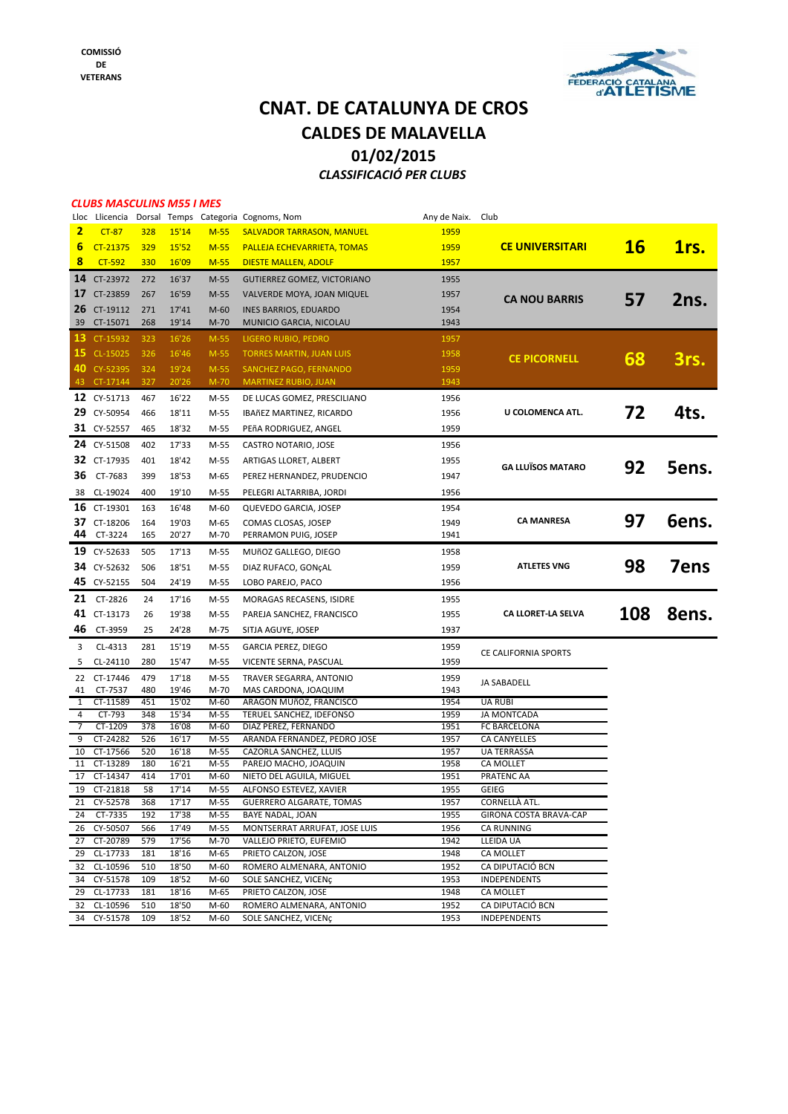

### **CNAT. DE CATALUNYA DE CROS 01/02/2015** *CLASSIFICACIÓ PER CLUBS* **CALDES DE MALAVELLA**

#### *CLUBS MASCULINS M55 I MES*

|                         | Lloc Llicencia             |            |                |                  | Dorsal Temps Categoria Cognoms, Nom             | Any de Naix. Club |                          |           |             |
|-------------------------|----------------------------|------------|----------------|------------------|-------------------------------------------------|-------------------|--------------------------|-----------|-------------|
| $\overline{\mathbf{2}}$ | $CT-87$                    | 328        | 15'14          | $M-55$           | <b>SALVADOR TARRASON, MANUEL</b>                | 1959              |                          |           |             |
| 6                       | CT-21375                   | 329        | 15'52          | $M-55$           | PALLEJA ECHEVARRIETA, TOMAS                     | 1959              | <b>CE UNIVERSITARI</b>   | <b>16</b> | 1rs.        |
| 8                       | $CT-592$                   | 330        | 16'09          | $M-55$           | <b>DIESTE MALLEN, ADOLF</b>                     | 1957              |                          |           |             |
| 14                      | CT-23972                   |            |                |                  |                                                 |                   |                          |           |             |
|                         |                            | 272        | 16'37          | $M-55$           | <b>GUTIERREZ GOMEZ, VICTORIANO</b>              | 1955              |                          |           |             |
| 17                      | CT-23859                   | 267        | 16'59          | M-55             | VALVERDE MOYA, JOAN MIQUEL                      | 1957              | <b>CA NOU BARRIS</b>     | 57        | 2ns.        |
| 26                      | CT-19112                   | 271        | 17'41          | $M-60$           | INES BARRIOS, EDUARDO                           | 1954              |                          |           |             |
| 39                      | CT-15071                   | 268        | 19'14          | $M-70$           | MUNICIO GARCIA, NICOLAU                         | 1943              |                          |           |             |
| 13                      | CT-15932                   | 323        | 16'26          | $M-55$           | LIGERO RUBIO, PEDRO                             | 1957              |                          |           |             |
| 15                      | CL-15025                   | 326        | 16'46          | $M-55$           | <b>TORRES MARTIN, JUAN LUIS</b>                 | 1958              | <b>CE PICORNELL</b>      | 68        |             |
| 40                      | CY-52395                   | 324        | 19'24          | $M-55$           | SANCHEZ PAGO, FERNANDO                          | 1959              |                          |           | 3rs.        |
|                         | 43 CT-17144                | 327        | 20'26          | $M-70$           | <b>MARTINEZ RUBIO, JUAN</b>                     | 1943              |                          |           |             |
|                         | 12 CY-51713                | 467        | 16'22          | M-55             | DE LUCAS GOMEZ, PRESCILIANO                     | 1956              |                          |           |             |
|                         | 29 CY-50954                | 466        | 18'11          | M-55             | IBAñEZ MARTINEZ, RICARDO                        | 1956              | U COLOMENCA ATL.         | 72        | 4ts.        |
|                         |                            |            |                |                  |                                                 |                   |                          |           |             |
|                         | 31 CY-52557                | 465        | 18'32          | M-55             | PEñA RODRIGUEZ, ANGEL                           | 1959              |                          |           |             |
|                         | 24 CY-51508                | 402        | 17'33          | M-55             | CASTRO NOTARIO, JOSE                            | 1956              |                          |           |             |
|                         | 32 CT-17935                | 401        | 18'42          | M-55             | ARTIGAS LLORET, ALBERT                          | 1955              | <b>GA LLUÏSOS MATARO</b> | 92        | 5ens.       |
| 36                      | CT-7683                    | 399        | 18'53          | M-65             | PEREZ HERNANDEZ, PRUDENCIO                      | 1947              |                          |           |             |
| 38                      | CL-19024                   | 400        | 19'10          | M-55             | PELEGRI ALTARRIBA, JORDI                        | 1956              |                          |           |             |
|                         | 16 CT-19301                | 163        | 16'48          | $M-60$           | QUEVEDO GARCIA, JOSEP                           | 1954              |                          |           |             |
| 37                      | CT-18206                   | 164        | 19'03          | M-65             | COMAS CLOSAS, JOSEP                             | 1949              | <b>CA MANRESA</b>        | 97        | Gens.       |
| 44                      | CT-3224                    | 165        | 20'27          | M-70             | PERRAMON PUIG, JOSEP                            | 1941              |                          |           |             |
|                         |                            |            |                |                  |                                                 |                   |                          |           |             |
|                         | 19 CY-52633                | 505        | 17'13          | M-55             | MUñOZ GALLEGO, DIEGO                            | 1958              |                          |           |             |
| 34                      | CY-52632                   | 506        | 18'51          | M-55             | DIAZ RUFACO, GONÇAL                             | 1959              | <b>ATLETES VNG</b>       | 98        | <b>7ens</b> |
|                         | 45 CY-52155                | 504        | 24'19          | M-55             | LOBO PAREJO, PACO                               | 1956              |                          |           |             |
|                         | 21 CT-2826                 | 24         | 17'16          | M-55             | MORAGAS RECASENS, ISIDRE                        | 1955              |                          |           |             |
|                         | 41 CT-13173                | 26         | 19'38          | M-55             | PAREJA SANCHEZ, FRANCISCO                       | 1955              | CA LLORET-LA SELVA       | 108       | 8ens.       |
| 46                      | CT-3959                    | 25         | 24'28          | M-75             | SITJA AGUYE, JOSEP                              | 1937              |                          |           |             |
| 3                       | CL-4313                    | 281        | 15'19          | M-55             | <b>GARCIA PEREZ, DIEGO</b>                      | 1959              |                          |           |             |
| 5                       | CL-24110                   | 280        | 15'47          | M-55             |                                                 | 1959              | CE CALIFORNIA SPORTS     |           |             |
|                         |                            |            |                |                  | VICENTE SERNA, PASCUAL                          |                   |                          |           |             |
| 22                      | CT-17446                   | 479        | 17'18          | M-55             | TRAVER SEGARRA, ANTONIO                         | 1959              | JA SABADELL              |           |             |
| 41<br>1                 | CT-7537<br>CT-11589        | 480<br>451 | 19'46<br>15'02 | $M-70$<br>$M-60$ | MAS CARDONA, JOAQUIM<br>ARAGON MUñOZ, FRANCISCO | 1943<br>1954      | <b>UA RUBI</b>           |           |             |
| 4                       | CT-793                     | 348        | 15'34          | M-55             | TERUEL SANCHEZ, IDEFONSO                        | 1959              | <b>JA MONTCADA</b>       |           |             |
| 7                       | CT-1209                    | 378        | 16'08          | M-60             | DIAZ PEREZ, FERNANDO                            | 1951              | FC BARCELONA             |           |             |
| 9                       | CT-24282                   | 526        | 16'17          | M-55             | ARANDA FERNANDEZ, PEDRO JOSE                    | 1957              | CA CANYELLES             |           |             |
| 10                      | CT-17566                   | 520        | 16'18          | M-55             | CAZORLA SANCHEZ, LLUIS                          | 1957              | <b>UA TERRASSA</b>       |           |             |
| 11                      | CT-13289                   | 180        | 16'21          | M-55             | PAREJO MACHO, JOAQUIN                           | 1958              | <b>CA MOLLET</b>         |           |             |
| 17                      | CT-14347                   | 414        | 17'01          | M-60             | NIETO DEL AGUILA, MIGUEL                        | 1951              | PRATENC AA               |           |             |
| 19                      | CT-21818                   | 58         | 17'14          | $M-55$           | ALFONSO ESTEVEZ, XAVIER                         | 1955              | <b>GEIEG</b>             |           |             |
| 21                      | CY-52578                   | 368        | 17'17          | M-55             | <b>GUERRERO ALGARATE, TOMAS</b>                 | 1957              | CORNELLÀ ATL.            |           |             |
| 24                      | CT-7335                    | 192        | 17'38          | M-55             | <b>BAYE NADAL, JOAN</b>                         | 1955              | GIRONA COSTA BRAVA-CAP   |           |             |
|                         | 26 CY-50507<br>27 CT-20789 | 566        | 17'49          | M-55<br>$M-70$   | MONTSERRAT ARRUFAT, JOSE LUIS                   | 1956<br>1942      | CA RUNNING               |           |             |
|                         | 29 CL-17733                | 579<br>181 | 17'56<br>18'16 | M-65             | VALLEJO PRIETO, EUFEMIO<br>PRIETO CALZON, JOSE  | 1948              | LLEIDA UA<br>CA MOLLET   |           |             |
|                         | 32 CL-10596                | 510        | 18'50          | $M-60$           | ROMERO ALMENARA, ANTONIO                        | 1952              | CA DIPUTACIÓ BCN         |           |             |
|                         | 34 CY-51578                | 109        | 18'52          | $M-60$           | SOLE SANCHEZ, VICENÇ                            | 1953              | <b>INDEPENDENTS</b>      |           |             |
|                         | 29 CL-17733                | 181        | 18'16          | M-65             | PRIETO CALZON, JOSE                             | 1948              | CA MOLLET                |           |             |
|                         | 32 CL-10596                | 510        | 18'50          | $M-60$           | ROMERO ALMENARA, ANTONIO                        | 1952              | CA DIPUTACIÓ BCN         |           |             |
|                         | 34 CY-51578                | 109        | 18'52          | M-60             | SOLE SANCHEZ, VICENÇ                            | 1953              | <b>INDEPENDENTS</b>      |           |             |
|                         |                            |            |                |                  |                                                 |                   |                          |           |             |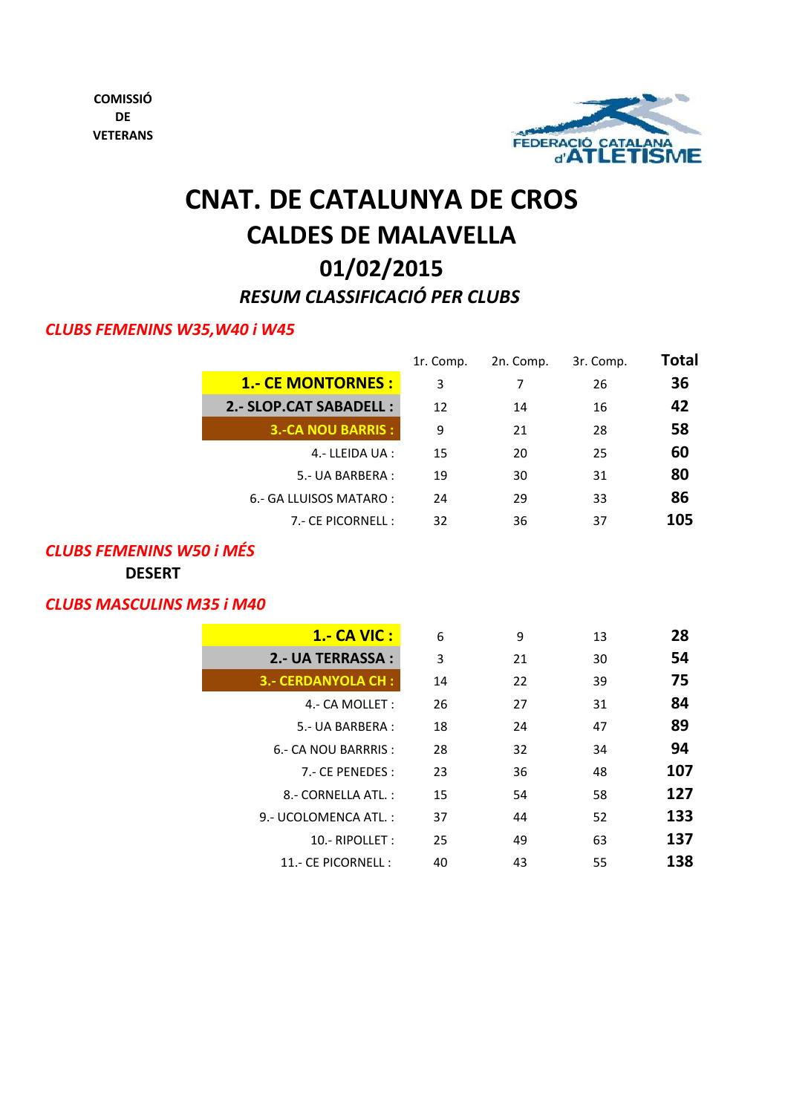

# **CNAT. DE CATALUNYA DE CROS CALDES DE MALAVELLA 01/02/2015** *RESUM CLASSIFICACIÓ PER CLUBS*

### *CLUBS FEMENINS W35,W40 i W45*

|                           | 1r. Comp. | 2n. Comp. | 3r. Comp. | <b>Total</b> |
|---------------------------|-----------|-----------|-----------|--------------|
| <b>1.- CE MONTORNES :</b> | 3         | 7         | 26        | 36           |
| 2.- SLOP.CAT SABADELL :   | 12        | 14        | 16        | 42           |
| <b>3.-CA NOU BARRIS :</b> | 9         | 21        | 28        | 58           |
| 4.- LLEIDA UA :           | 15        | 20        | 25        | 60           |
| 5 - UA BARBERA :          | 19        | 30        | 31        | 80           |
| 6.- GA LLUISOS MATARO:    | 24        | 29        | 33        | 86           |
| 7.- CE PICORNELL :        | 32        | 36        | 37        | 105          |
|                           |           |           |           |              |

### *CLUBS FEMENINS W50 i MÉS*

**DESERT**

### *CLUBS MASCULINS M35 i M40*

| <b>1.- CA VIC :</b>       | 6  | 9  | 13 | 28  |
|---------------------------|----|----|----|-----|
| 2.- UA TERRASSA :         | 3  | 21 | 30 | 54  |
| <b>3.- CERDANYOLA CH:</b> | 14 | 22 | 39 | 75  |
| 4.- CA MOLLET:            | 26 | 27 | 31 | 84  |
| 5 - UA BARBERA :          | 18 | 24 | 47 | 89  |
| 6.- CA NOU BARRRIS :      | 28 | 32 | 34 | 94  |
| 7 - CE PENEDES :          | 23 | 36 | 48 | 107 |
| 8 - CORNELLA ATL.:        | 15 | 54 | 58 | 127 |
| 9.- UCOLOMENCA ATL.:      | 37 | 44 | 52 | 133 |
| 10.- RIPOLLET:            | 25 | 49 | 63 | 137 |
| 11.- CE PICORNELL :       | 40 | 43 | 55 | 138 |